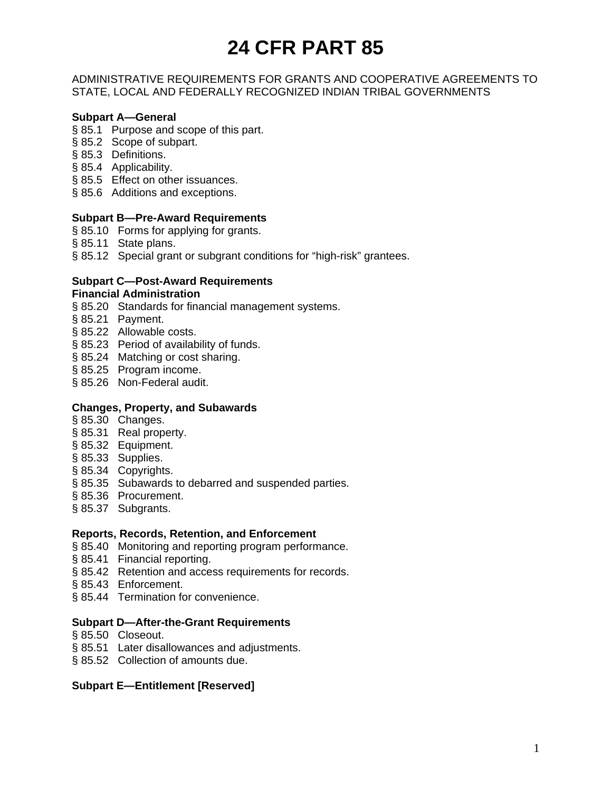### ADMINISTRATIVE REQUIREMENTS FOR GRANTS AND COOPERATIVE AGREEMENTS TO STATE, LOCAL AND FEDERALLY RECOGNIZED INDIAN TRIBAL GOVERNMENTS

#### **Subpart A—General**

- § 85.1 Purpose and scope of this part.
- § 85.2 Scope of subpart.
- § 85.3 Definitions.
- § 85.4 Applicability.
- § 85.5 Effect on other issuances.
- § 85.6 Additions and exceptions.

#### **Subpart B—Pre-Award Requirements**

- § 85.10 Forms for applying for grants.
- § 85.11 State plans.
- § 85.12 Special grant or subgrant conditions for "high-risk" grantees.

# **Subpart C—Post-Award Requirements**

- **Financial Administration**
- § 85.20 Standards for financial management systems.
- § 85.21 Payment.
- § 85.22 Allowable costs.
- § 85.23 Period of availability of funds.
- § 85.24 Matching or cost sharing.
- § 85.25 Program income.
- § 85.26 Non-Federal audit.

### **Changes, Property, and Subawards**

- § 85.30 Changes.
- § 85.31 Real property.
- § 85.32 Equipment.
- § 85.33 Supplies.
- § 85.34 Copyrights.
- § 85.35 Subawards to debarred and suspended parties.
- § 85.36 Procurement.
- § 85.37 Subgrants.

#### **Reports, Records, Retention, and Enforcement**

- § 85.40 Monitoring and reporting program performance.
- § 85.41 Financial reporting.
- § 85.42 Retention and access requirements for records.
- § 85.43 Enforcement.
- § 85.44 Termination for convenience.

#### **Subpart D—After-the-Grant Requirements**

- § 85.50 Closeout.
- § 85.51 Later disallowances and adjustments.
- § 85.52 Collection of amounts due.

### **Subpart E—Entitlement [Reserved]**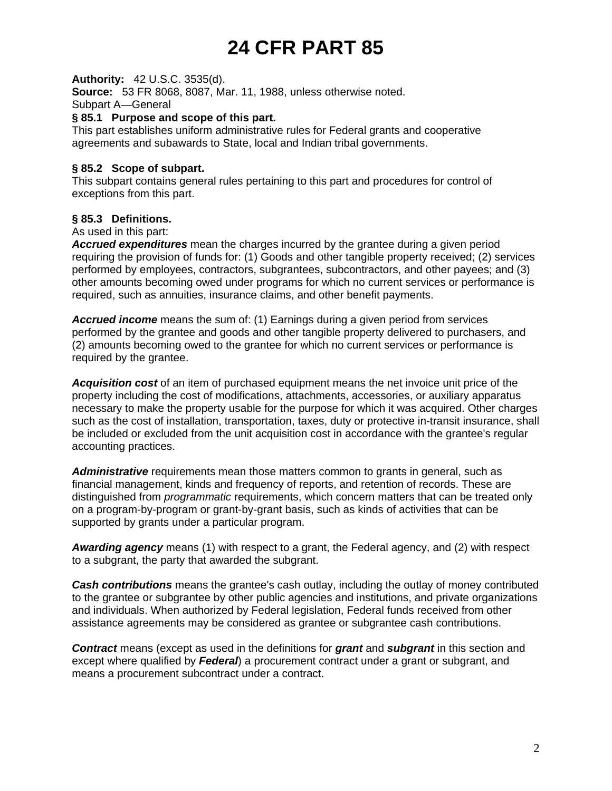**Authority:** 42 U.S.C. 3535(d). **Source:** 53 FR 8068, 8087, Mar. 11, 1988, unless otherwise noted. Subpart A—General

### **§ 85.1 Purpose and scope of this part.**

This part establishes uniform administrative rules for Federal grants and cooperative agreements and subawards to State, local and Indian tribal governments.

## **§ 85.2 Scope of subpart.**

This subpart contains general rules pertaining to this part and procedures for control of exceptions from this part.

## **§ 85.3 Definitions.**

As used in this part:

*Accrued expenditures* mean the charges incurred by the grantee during a given period requiring the provision of funds for: (1) Goods and other tangible property received; (2) services performed by employees, contractors, subgrantees, subcontractors, and other payees; and (3) other amounts becoming owed under programs for which no current services or performance is required, such as annuities, insurance claims, and other benefit payments.

*Accrued income* means the sum of: (1) Earnings during a given period from services performed by the grantee and goods and other tangible property delivered to purchasers, and (2) amounts becoming owed to the grantee for which no current services or performance is required by the grantee.

*Acquisition cost* of an item of purchased equipment means the net invoice unit price of the property including the cost of modifications, attachments, accessories, or auxiliary apparatus necessary to make the property usable for the purpose for which it was acquired. Other charges such as the cost of installation, transportation, taxes, duty or protective in-transit insurance, shall be included or excluded from the unit acquisition cost in accordance with the grantee's regular accounting practices.

*Administrative* requirements mean those matters common to grants in general, such as financial management, kinds and frequency of reports, and retention of records. These are distinguished from *programmatic* requirements, which concern matters that can be treated only on a program-by-program or grant-by-grant basis, such as kinds of activities that can be supported by grants under a particular program.

*Awarding agency* means (1) with respect to a grant, the Federal agency, and (2) with respect to a subgrant, the party that awarded the subgrant.

*Cash contributions* means the grantee's cash outlay, including the outlay of money contributed to the grantee or subgrantee by other public agencies and institutions, and private organizations and individuals. When authorized by Federal legislation, Federal funds received from other assistance agreements may be considered as grantee or subgrantee cash contributions.

*Contract* means (except as used in the definitions for *grant* and *subgrant* in this section and except where qualified by *Federal*) a procurement contract under a grant or subgrant, and means a procurement subcontract under a contract.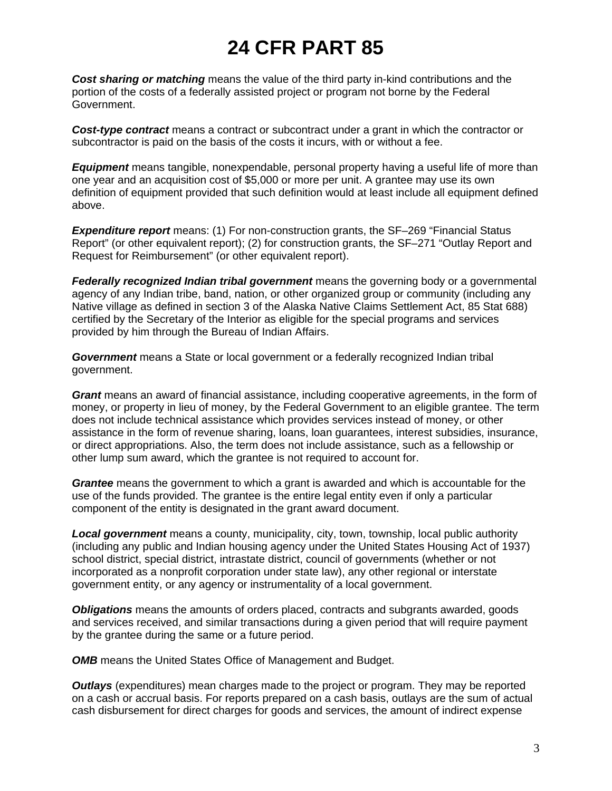*Cost sharing or matching* means the value of the third party in-kind contributions and the portion of the costs of a federally assisted project or program not borne by the Federal Government.

*Cost-type contract* means a contract or subcontract under a grant in which the contractor or subcontractor is paid on the basis of the costs it incurs, with or without a fee.

*Equipment* means tangible, nonexpendable, personal property having a useful life of more than one year and an acquisition cost of \$5,000 or more per unit. A grantee may use its own definition of equipment provided that such definition would at least include all equipment defined above.

**Expenditure report** means: (1) For non-construction grants, the SF-269 "Financial Status Report" (or other equivalent report); (2) for construction grants, the SF–271 "Outlay Report and Request for Reimbursement" (or other equivalent report).

*Federally recognized Indian tribal government* means the governing body or a governmental agency of any Indian tribe, band, nation, or other organized group or community (including any Native village as defined in section 3 of the Alaska Native Claims Settlement Act, 85 Stat 688) certified by the Secretary of the Interior as eligible for the special programs and services provided by him through the Bureau of Indian Affairs.

*Government* means a State or local government or a federally recognized Indian tribal government.

*Grant* means an award of financial assistance, including cooperative agreements, in the form of money, or property in lieu of money, by the Federal Government to an eligible grantee. The term does not include technical assistance which provides services instead of money, or other assistance in the form of revenue sharing, loans, loan guarantees, interest subsidies, insurance, or direct appropriations. Also, the term does not include assistance, such as a fellowship or other lump sum award, which the grantee is not required to account for.

*Grantee* means the government to which a grant is awarded and which is accountable for the use of the funds provided. The grantee is the entire legal entity even if only a particular component of the entity is designated in the grant award document.

*Local government* means a county, municipality, city, town, township, local public authority (including any public and Indian housing agency under the United States Housing Act of 1937) school district, special district, intrastate district, council of governments (whether or not incorporated as a nonprofit corporation under state law), any other regional or interstate government entity, or any agency or instrumentality of a local government.

*Obligations* means the amounts of orders placed, contracts and subgrants awarded, goods and services received, and similar transactions during a given period that will require payment by the grantee during the same or a future period.

**OMB** means the United States Office of Management and Budget.

*Outlays* (expenditures) mean charges made to the project or program. They may be reported on a cash or accrual basis. For reports prepared on a cash basis, outlays are the sum of actual cash disbursement for direct charges for goods and services, the amount of indirect expense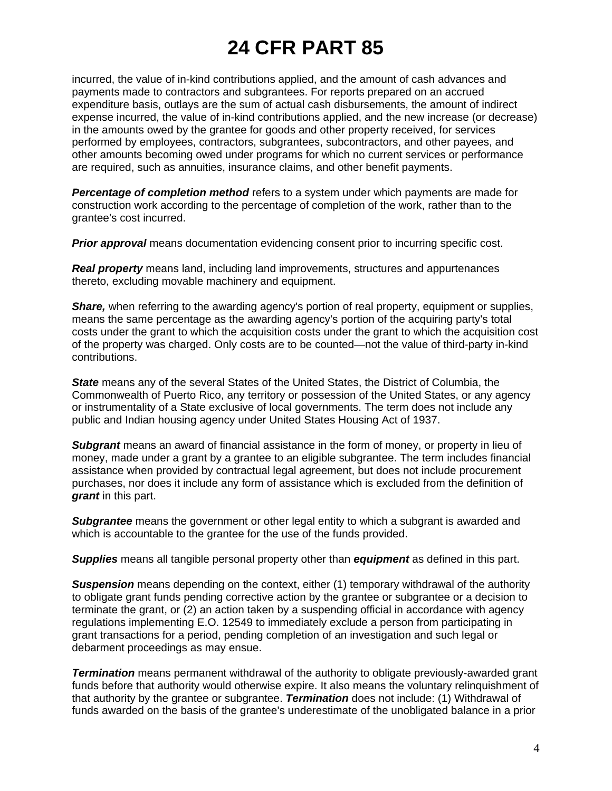incurred, the value of in-kind contributions applied, and the amount of cash advances and payments made to contractors and subgrantees. For reports prepared on an accrued expenditure basis, outlays are the sum of actual cash disbursements, the amount of indirect expense incurred, the value of in-kind contributions applied, and the new increase (or decrease) in the amounts owed by the grantee for goods and other property received, for services performed by employees, contractors, subgrantees, subcontractors, and other payees, and other amounts becoming owed under programs for which no current services or performance are required, such as annuities, insurance claims, and other benefit payments.

*Percentage of completion method* refers to a system under which payments are made for construction work according to the percentage of completion of the work, rather than to the grantee's cost incurred.

*Prior approval* means documentation evidencing consent prior to incurring specific cost.

*Real property* means land, including land improvements, structures and appurtenances thereto, excluding movable machinery and equipment.

*Share,* when referring to the awarding agency's portion of real property, equipment or supplies, means the same percentage as the awarding agency's portion of the acquiring party's total costs under the grant to which the acquisition costs under the grant to which the acquisition cost of the property was charged. Only costs are to be counted—not the value of third-party in-kind contributions.

*State* means any of the several States of the United States, the District of Columbia, the Commonwealth of Puerto Rico, any territory or possession of the United States, or any agency or instrumentality of a State exclusive of local governments. The term does not include any public and Indian housing agency under United States Housing Act of 1937.

*Subgrant* means an award of financial assistance in the form of money, or property in lieu of money, made under a grant by a grantee to an eligible subgrantee. The term includes financial assistance when provided by contractual legal agreement, but does not include procurement purchases, nor does it include any form of assistance which is excluded from the definition of *grant* in this part.

*Subgrantee* means the government or other legal entity to which a subgrant is awarded and which is accountable to the grantee for the use of the funds provided.

*Supplies* means all tangible personal property other than *equipment* as defined in this part.

*Suspension* means depending on the context, either (1) temporary withdrawal of the authority to obligate grant funds pending corrective action by the grantee or subgrantee or a decision to terminate the grant, or (2) an action taken by a suspending official in accordance with agency regulations implementing E.O. 12549 to immediately exclude a person from participating in grant transactions for a period, pending completion of an investigation and such legal or debarment proceedings as may ensue.

*Termination* means permanent withdrawal of the authority to obligate previously-awarded grant funds before that authority would otherwise expire. It also means the voluntary relinquishment of that authority by the grantee or subgrantee. *Termination* does not include: (1) Withdrawal of funds awarded on the basis of the grantee's underestimate of the unobligated balance in a prior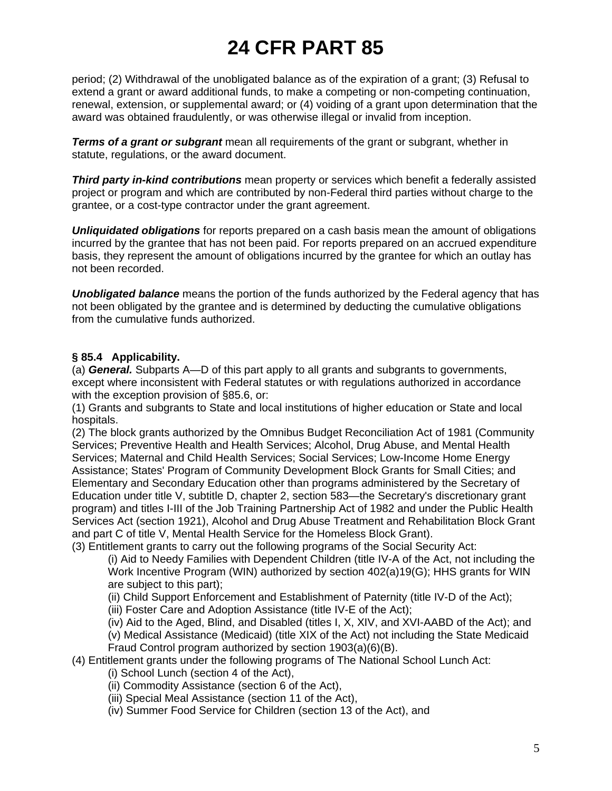period; (2) Withdrawal of the unobligated balance as of the expiration of a grant; (3) Refusal to extend a grant or award additional funds, to make a competing or non-competing continuation, renewal, extension, or supplemental award; or (4) voiding of a grant upon determination that the award was obtained fraudulently, or was otherwise illegal or invalid from inception.

**Terms of a grant or subgrant** mean all requirements of the grant or subgrant, whether in statute, regulations, or the award document.

*Third party in-kind contributions* mean property or services which benefit a federally assisted project or program and which are contributed by non-Federal third parties without charge to the grantee, or a cost-type contractor under the grant agreement.

*Unliquidated obligations* for reports prepared on a cash basis mean the amount of obligations incurred by the grantee that has not been paid. For reports prepared on an accrued expenditure basis, they represent the amount of obligations incurred by the grantee for which an outlay has not been recorded.

*Unobligated balance* means the portion of the funds authorized by the Federal agency that has not been obligated by the grantee and is determined by deducting the cumulative obligations from the cumulative funds authorized.

## **§ 85.4 Applicability.**

(a) *General.* Subparts A—D of this part apply to all grants and subgrants to governments, except where inconsistent with Federal statutes or with regulations authorized in accordance with the exception provision of §85.6, or:

(1) Grants and subgrants to State and local institutions of higher education or State and local hospitals.

(2) The block grants authorized by the Omnibus Budget Reconciliation Act of 1981 (Community Services; Preventive Health and Health Services; Alcohol, Drug Abuse, and Mental Health Services; Maternal and Child Health Services; Social Services; Low-Income Home Energy Assistance; States' Program of Community Development Block Grants for Small Cities; and Elementary and Secondary Education other than programs administered by the Secretary of Education under title V, subtitle D, chapter 2, section 583—the Secretary's discretionary grant program) and titles I-III of the Job Training Partnership Act of 1982 and under the Public Health Services Act (section 1921), Alcohol and Drug Abuse Treatment and Rehabilitation Block Grant and part C of title V, Mental Health Service for the Homeless Block Grant).

(3) Entitlement grants to carry out the following programs of the Social Security Act:

(i) Aid to Needy Families with Dependent Children (title IV-A of the Act, not including the Work Incentive Program (WIN) authorized by section 402(a)19(G); HHS grants for WIN are subject to this part);

(ii) Child Support Enforcement and Establishment of Paternity (title IV-D of the Act);

(iii) Foster Care and Adoption Assistance (title IV-E of the Act);

(iv) Aid to the Aged, Blind, and Disabled (titles I, X, XIV, and XVI-AABD of the Act); and

(v) Medical Assistance (Medicaid) (title XIX of the Act) not including the State Medicaid Fraud Control program authorized by section 1903(a)(6)(B).

(4) Entitlement grants under the following programs of The National School Lunch Act:

(i) School Lunch (section 4 of the Act),

(ii) Commodity Assistance (section 6 of the Act),

(iii) Special Meal Assistance (section 11 of the Act),

(iv) Summer Food Service for Children (section 13 of the Act), and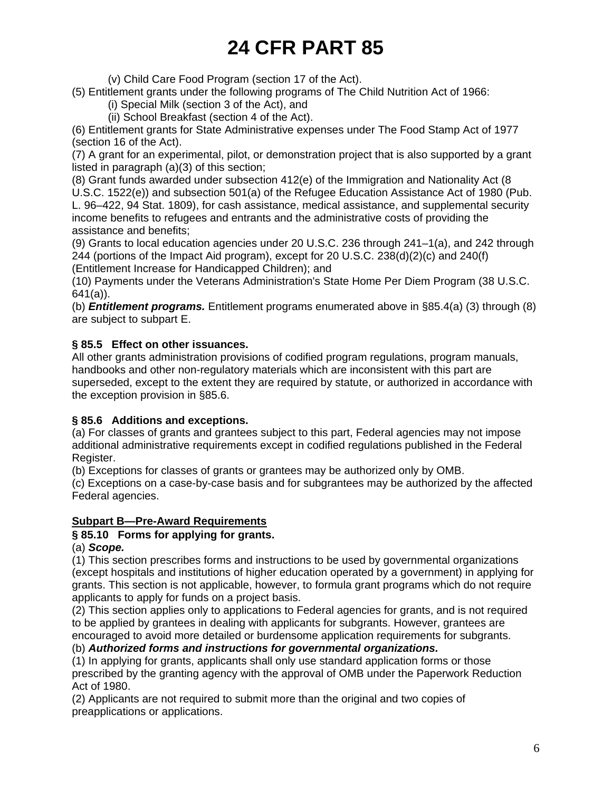(v) Child Care Food Program (section 17 of the Act).

(5) Entitlement grants under the following programs of The Child Nutrition Act of 1966:

- (i) Special Milk (section 3 of the Act), and
- (ii) School Breakfast (section 4 of the Act).

(6) Entitlement grants for State Administrative expenses under The Food Stamp Act of 1977 (section 16 of the Act).

(7) A grant for an experimental, pilot, or demonstration project that is also supported by a grant listed in paragraph (a)(3) of this section;

(8) Grant funds awarded under subsection 412(e) of the Immigration and Nationality Act (8 U.S.C. 1522(e)) and subsection 501(a) of the Refugee Education Assistance Act of 1980 (Pub. L. 96–422, 94 Stat. 1809), for cash assistance, medical assistance, and supplemental security income benefits to refugees and entrants and the administrative costs of providing the assistance and benefits;

(9) Grants to local education agencies under 20 U.S.C. 236 through 241–1(a), and 242 through 244 (portions of the Impact Aid program), except for 20 U.S.C. 238(d)(2)(c) and 240(f) (Entitlement Increase for Handicapped Children); and

(10) Payments under the Veterans Administration's State Home Per Diem Program (38 U.S.C. 641(a)).

(b) *Entitlement programs.* Entitlement programs enumerated above in §85.4(a) (3) through (8) are subject to subpart E.

# **§ 85.5 Effect on other issuances.**

All other grants administration provisions of codified program regulations, program manuals, handbooks and other non-regulatory materials which are inconsistent with this part are superseded, except to the extent they are required by statute, or authorized in accordance with the exception provision in §85.6.

# **§ 85.6 Additions and exceptions.**

(a) For classes of grants and grantees subject to this part, Federal agencies may not impose additional administrative requirements except in codified regulations published in the Federal Register.

(b) Exceptions for classes of grants or grantees may be authorized only by OMB.

(c) Exceptions on a case-by-case basis and for subgrantees may be authorized by the affected Federal agencies.

## **Subpart B—Pre-Award Requirements**

## **§ 85.10 Forms for applying for grants.**

(a) *Scope.*

(1) This section prescribes forms and instructions to be used by governmental organizations (except hospitals and institutions of higher education operated by a government) in applying for grants. This section is not applicable, however, to formula grant programs which do not require applicants to apply for funds on a project basis.

(2) This section applies only to applications to Federal agencies for grants, and is not required to be applied by grantees in dealing with applicants for subgrants. However, grantees are encouraged to avoid more detailed or burdensome application requirements for subgrants.

## (b) *Authorized forms and instructions for governmental organizations.*

(1) In applying for grants, applicants shall only use standard application forms or those prescribed by the granting agency with the approval of OMB under the Paperwork Reduction Act of 1980.

(2) Applicants are not required to submit more than the original and two copies of preapplications or applications.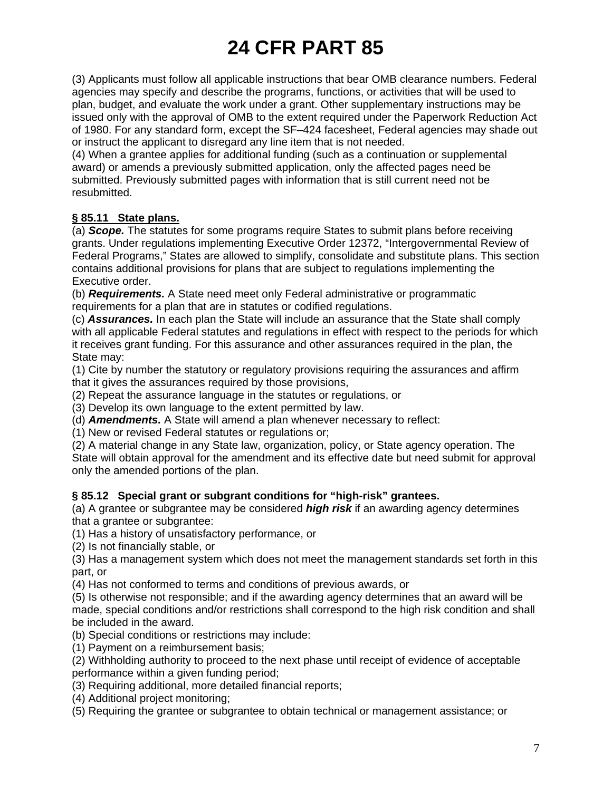(3) Applicants must follow all applicable instructions that bear OMB clearance numbers. Federal agencies may specify and describe the programs, functions, or activities that will be used to plan, budget, and evaluate the work under a grant. Other supplementary instructions may be issued only with the approval of OMB to the extent required under the Paperwork Reduction Act of 1980. For any standard form, except the SF–424 facesheet, Federal agencies may shade out or instruct the applicant to disregard any line item that is not needed.

(4) When a grantee applies for additional funding (such as a continuation or supplemental award) or amends a previously submitted application, only the affected pages need be submitted. Previously submitted pages with information that is still current need not be resubmitted.

# **§ 85.11 State plans.**

(a) *Scope.* The statutes for some programs require States to submit plans before receiving grants. Under regulations implementing Executive Order 12372, "Intergovernmental Review of Federal Programs," States are allowed to simplify, consolidate and substitute plans. This section contains additional provisions for plans that are subject to regulations implementing the Executive order.

(b) *Requirements.* A State need meet only Federal administrative or programmatic requirements for a plan that are in statutes or codified regulations.

(c) *Assurances.* In each plan the State will include an assurance that the State shall comply with all applicable Federal statutes and regulations in effect with respect to the periods for which it receives grant funding. For this assurance and other assurances required in the plan, the State may:

(1) Cite by number the statutory or regulatory provisions requiring the assurances and affirm that it gives the assurances required by those provisions,

(2) Repeat the assurance language in the statutes or regulations, or

(3) Develop its own language to the extent permitted by law.

(d) *Amendments.* A State will amend a plan whenever necessary to reflect:

(1) New or revised Federal statutes or regulations or;

(2) A material change in any State law, organization, policy, or State agency operation. The State will obtain approval for the amendment and its effective date but need submit for approval only the amended portions of the plan.

## **§ 85.12 Special grant or subgrant conditions for "high-risk" grantees.**

(a) A grantee or subgrantee may be considered *high risk* if an awarding agency determines that a grantee or subgrantee:

(1) Has a history of unsatisfactory performance, or

(2) Is not financially stable, or

(3) Has a management system which does not meet the management standards set forth in this part, or

(4) Has not conformed to terms and conditions of previous awards, or

(5) Is otherwise not responsible; and if the awarding agency determines that an award will be made, special conditions and/or restrictions shall correspond to the high risk condition and shall be included in the award.

(b) Special conditions or restrictions may include:

(1) Payment on a reimbursement basis;

(2) Withholding authority to proceed to the next phase until receipt of evidence of acceptable performance within a given funding period;

(3) Requiring additional, more detailed financial reports;

(4) Additional project monitoring;

(5) Requiring the grantee or subgrantee to obtain technical or management assistance; or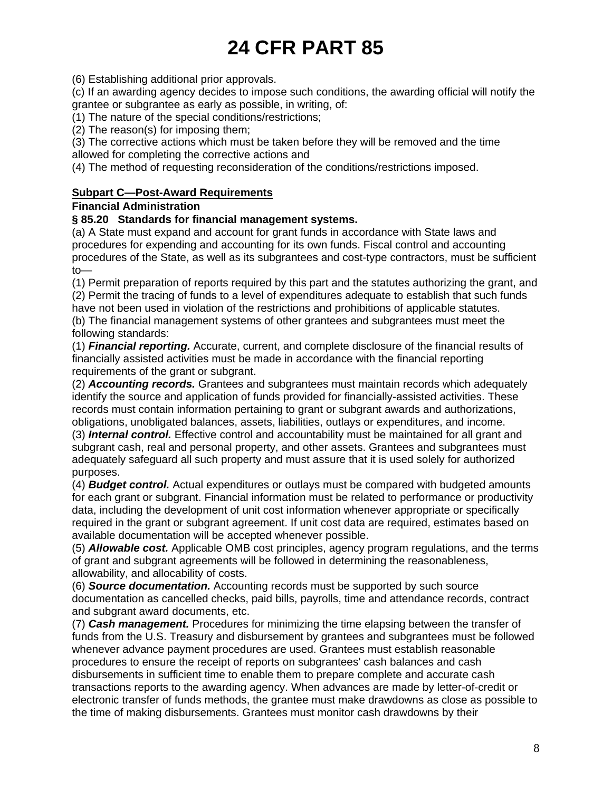(6) Establishing additional prior approvals.

(c) If an awarding agency decides to impose such conditions, the awarding official will notify the grantee or subgrantee as early as possible, in writing, of:

(1) The nature of the special conditions/restrictions;

(2) The reason(s) for imposing them;

(3) The corrective actions which must be taken before they will be removed and the time allowed for completing the corrective actions and

(4) The method of requesting reconsideration of the conditions/restrictions imposed.

### **Subpart C—Post-Award Requirements**

### **Financial Administration**

### **§ 85.20 Standards for financial management systems.**

(a) A State must expand and account for grant funds in accordance with State laws and procedures for expending and accounting for its own funds. Fiscal control and accounting procedures of the State, as well as its subgrantees and cost-type contractors, must be sufficient to—

(1) Permit preparation of reports required by this part and the statutes authorizing the grant, and (2) Permit the tracing of funds to a level of expenditures adequate to establish that such funds have not been used in violation of the restrictions and prohibitions of applicable statutes.

(b) The financial management systems of other grantees and subgrantees must meet the following standards:

(1) *Financial reporting.* Accurate, current, and complete disclosure of the financial results of financially assisted activities must be made in accordance with the financial reporting requirements of the grant or subgrant.

(2) *Accounting records.* Grantees and subgrantees must maintain records which adequately identify the source and application of funds provided for financially-assisted activities. These records must contain information pertaining to grant or subgrant awards and authorizations, obligations, unobligated balances, assets, liabilities, outlays or expenditures, and income.

(3) *Internal control.* Effective control and accountability must be maintained for all grant and subgrant cash, real and personal property, and other assets. Grantees and subgrantees must adequately safeguard all such property and must assure that it is used solely for authorized purposes.

(4) *Budget control.* Actual expenditures or outlays must be compared with budgeted amounts for each grant or subgrant. Financial information must be related to performance or productivity data, including the development of unit cost information whenever appropriate or specifically required in the grant or subgrant agreement. If unit cost data are required, estimates based on available documentation will be accepted whenever possible.

(5) *Allowable cost.* Applicable OMB cost principles, agency program regulations, and the terms of grant and subgrant agreements will be followed in determining the reasonableness, allowability, and allocability of costs.

(6) *Source documentation.* Accounting records must be supported by such source documentation as cancelled checks, paid bills, payrolls, time and attendance records, contract and subgrant award documents, etc.

(7) *Cash management.* Procedures for minimizing the time elapsing between the transfer of funds from the U.S. Treasury and disbursement by grantees and subgrantees must be followed whenever advance payment procedures are used. Grantees must establish reasonable procedures to ensure the receipt of reports on subgrantees' cash balances and cash disbursements in sufficient time to enable them to prepare complete and accurate cash transactions reports to the awarding agency. When advances are made by letter-of-credit or electronic transfer of funds methods, the grantee must make drawdowns as close as possible to the time of making disbursements. Grantees must monitor cash drawdowns by their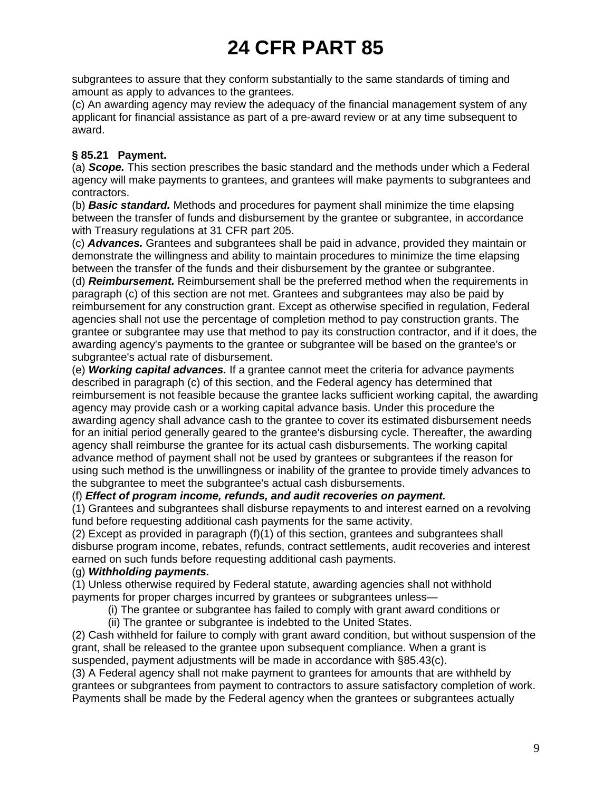subgrantees to assure that they conform substantially to the same standards of timing and amount as apply to advances to the grantees.

(c) An awarding agency may review the adequacy of the financial management system of any applicant for financial assistance as part of a pre-award review or at any time subsequent to award.

# **§ 85.21 Payment.**

(a) *Scope.* This section prescribes the basic standard and the methods under which a Federal agency will make payments to grantees, and grantees will make payments to subgrantees and contractors.

(b) *Basic standard.* Methods and procedures for payment shall minimize the time elapsing between the transfer of funds and disbursement by the grantee or subgrantee, in accordance with Treasury regulations at 31 CFR part 205.

(c) *Advances.* Grantees and subgrantees shall be paid in advance, provided they maintain or demonstrate the willingness and ability to maintain procedures to minimize the time elapsing between the transfer of the funds and their disbursement by the grantee or subgrantee.

(d) *Reimbursement.* Reimbursement shall be the preferred method when the requirements in paragraph (c) of this section are not met. Grantees and subgrantees may also be paid by reimbursement for any construction grant. Except as otherwise specified in regulation, Federal agencies shall not use the percentage of completion method to pay construction grants. The grantee or subgrantee may use that method to pay its construction contractor, and if it does, the awarding agency's payments to the grantee or subgrantee will be based on the grantee's or subgrantee's actual rate of disbursement.

(e) *Working capital advances.* If a grantee cannot meet the criteria for advance payments described in paragraph (c) of this section, and the Federal agency has determined that reimbursement is not feasible because the grantee lacks sufficient working capital, the awarding agency may provide cash or a working capital advance basis. Under this procedure the awarding agency shall advance cash to the grantee to cover its estimated disbursement needs for an initial period generally geared to the grantee's disbursing cycle. Thereafter, the awarding agency shall reimburse the grantee for its actual cash disbursements. The working capital advance method of payment shall not be used by grantees or subgrantees if the reason for using such method is the unwillingness or inability of the grantee to provide timely advances to the subgrantee to meet the subgrantee's actual cash disbursements.

### (f) *Effect of program income, refunds, and audit recoveries on payment.*

(1) Grantees and subgrantees shall disburse repayments to and interest earned on a revolving fund before requesting additional cash payments for the same activity.

(2) Except as provided in paragraph (f)(1) of this section, grantees and subgrantees shall disburse program income, rebates, refunds, contract settlements, audit recoveries and interest earned on such funds before requesting additional cash payments.

## (g) *Withholding payments.*

(1) Unless otherwise required by Federal statute, awarding agencies shall not withhold payments for proper charges incurred by grantees or subgrantees unless—

(i) The grantee or subgrantee has failed to comply with grant award conditions or

(ii) The grantee or subgrantee is indebted to the United States.

(2) Cash withheld for failure to comply with grant award condition, but without suspension of the grant, shall be released to the grantee upon subsequent compliance. When a grant is suspended, payment adjustments will be made in accordance with §85.43(c).

(3) A Federal agency shall not make payment to grantees for amounts that are withheld by grantees or subgrantees from payment to contractors to assure satisfactory completion of work. Payments shall be made by the Federal agency when the grantees or subgrantees actually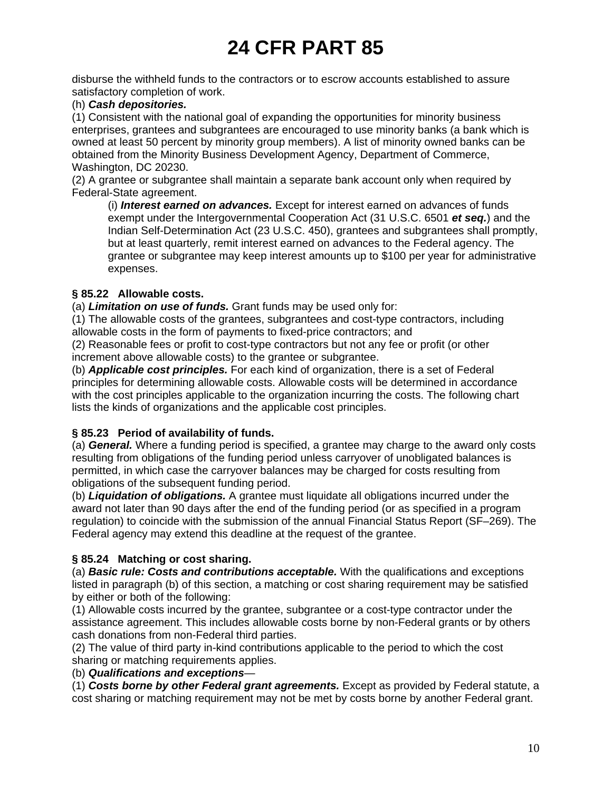disburse the withheld funds to the contractors or to escrow accounts established to assure satisfactory completion of work.

### (h) *Cash depositories.*

(1) Consistent with the national goal of expanding the opportunities for minority business enterprises, grantees and subgrantees are encouraged to use minority banks (a bank which is owned at least 50 percent by minority group members). A list of minority owned banks can be obtained from the Minority Business Development Agency, Department of Commerce, Washington, DC 20230.

(2) A grantee or subgrantee shall maintain a separate bank account only when required by Federal-State agreement.

(i) *Interest earned on advances.* Except for interest earned on advances of funds exempt under the Intergovernmental Cooperation Act (31 U.S.C. 6501 *et seq.*) and the Indian Self-Determination Act (23 U.S.C. 450), grantees and subgrantees shall promptly, but at least quarterly, remit interest earned on advances to the Federal agency. The grantee or subgrantee may keep interest amounts up to \$100 per year for administrative expenses.

## **§ 85.22 Allowable costs.**

(a) *Limitation on use of funds.* Grant funds may be used only for:

(1) The allowable costs of the grantees, subgrantees and cost-type contractors, including allowable costs in the form of payments to fixed-price contractors; and

(2) Reasonable fees or profit to cost-type contractors but not any fee or profit (or other increment above allowable costs) to the grantee or subgrantee.

(b) *Applicable cost principles.* For each kind of organization, there is a set of Federal principles for determining allowable costs. Allowable costs will be determined in accordance with the cost principles applicable to the organization incurring the costs. The following chart lists the kinds of organizations and the applicable cost principles.

## **§ 85.23 Period of availability of funds.**

(a) *General.* Where a funding period is specified, a grantee may charge to the award only costs resulting from obligations of the funding period unless carryover of unobligated balances is permitted, in which case the carryover balances may be charged for costs resulting from obligations of the subsequent funding period.

(b) *Liquidation of obligations.* A grantee must liquidate all obligations incurred under the award not later than 90 days after the end of the funding period (or as specified in a program regulation) to coincide with the submission of the annual Financial Status Report (SF–269). The Federal agency may extend this deadline at the request of the grantee.

## **§ 85.24 Matching or cost sharing.**

(a) *Basic rule: Costs and contributions acceptable.* With the qualifications and exceptions listed in paragraph (b) of this section, a matching or cost sharing requirement may be satisfied by either or both of the following:

(1) Allowable costs incurred by the grantee, subgrantee or a cost-type contractor under the assistance agreement. This includes allowable costs borne by non-Federal grants or by others cash donations from non-Federal third parties.

(2) The value of third party in-kind contributions applicable to the period to which the cost sharing or matching requirements applies.

## (b) *Qualifications and exceptions*—

(1) *Costs borne by other Federal grant agreements.* Except as provided by Federal statute, a cost sharing or matching requirement may not be met by costs borne by another Federal grant.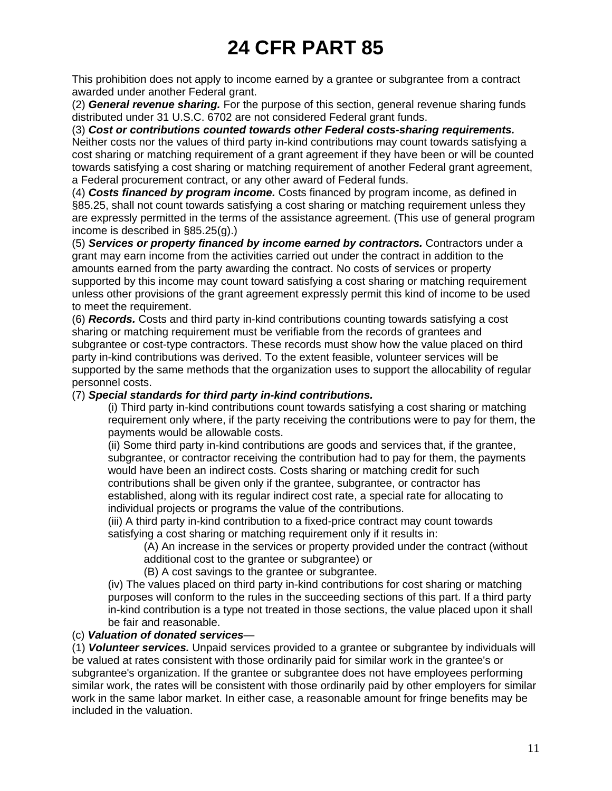This prohibition does not apply to income earned by a grantee or subgrantee from a contract awarded under another Federal grant.

(2) *General revenue sharing.* For the purpose of this section, general revenue sharing funds distributed under 31 U.S.C. 6702 are not considered Federal grant funds.

(3) *Cost or contributions counted towards other Federal costs-sharing requirements.* Neither costs nor the values of third party in-kind contributions may count towards satisfying a cost sharing or matching requirement of a grant agreement if they have been or will be counted towards satisfying a cost sharing or matching requirement of another Federal grant agreement, a Federal procurement contract, or any other award of Federal funds.

(4) *Costs financed by program income.* Costs financed by program income, as defined in §85.25, shall not count towards satisfying a cost sharing or matching requirement unless they are expressly permitted in the terms of the assistance agreement. (This use of general program income is described in §85.25(g).)

(5) *Services or property financed by income earned by contractors.* Contractors under a grant may earn income from the activities carried out under the contract in addition to the amounts earned from the party awarding the contract. No costs of services or property supported by this income may count toward satisfying a cost sharing or matching requirement unless other provisions of the grant agreement expressly permit this kind of income to be used to meet the requirement.

(6) *Records.* Costs and third party in-kind contributions counting towards satisfying a cost sharing or matching requirement must be verifiable from the records of grantees and subgrantee or cost-type contractors. These records must show how the value placed on third party in-kind contributions was derived. To the extent feasible, volunteer services will be supported by the same methods that the organization uses to support the allocability of regular personnel costs.

### (7) *Special standards for third party in-kind contributions.*

(i) Third party in-kind contributions count towards satisfying a cost sharing or matching requirement only where, if the party receiving the contributions were to pay for them, the payments would be allowable costs.

(ii) Some third party in-kind contributions are goods and services that, if the grantee, subgrantee, or contractor receiving the contribution had to pay for them, the payments would have been an indirect costs. Costs sharing or matching credit for such contributions shall be given only if the grantee, subgrantee, or contractor has established, along with its regular indirect cost rate, a special rate for allocating to individual projects or programs the value of the contributions.

(iii) A third party in-kind contribution to a fixed-price contract may count towards satisfying a cost sharing or matching requirement only if it results in:

(A) An increase in the services or property provided under the contract (without additional cost to the grantee or subgrantee) or

(B) A cost savings to the grantee or subgrantee.

(iv) The values placed on third party in-kind contributions for cost sharing or matching purposes will conform to the rules in the succeeding sections of this part. If a third party in-kind contribution is a type not treated in those sections, the value placed upon it shall be fair and reasonable.

### (c) *Valuation of donated services*—

(1) *Volunteer services.* Unpaid services provided to a grantee or subgrantee by individuals will be valued at rates consistent with those ordinarily paid for similar work in the grantee's or subgrantee's organization. If the grantee or subgrantee does not have employees performing similar work, the rates will be consistent with those ordinarily paid by other employers for similar work in the same labor market. In either case, a reasonable amount for fringe benefits may be included in the valuation.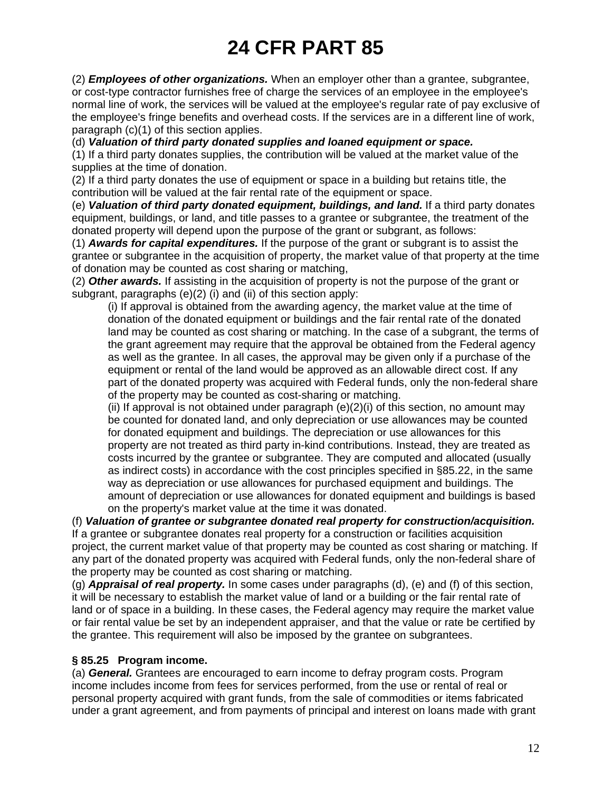(2) *Employees of other organizations.* When an employer other than a grantee, subgrantee, or cost-type contractor furnishes free of charge the services of an employee in the employee's normal line of work, the services will be valued at the employee's regular rate of pay exclusive of the employee's fringe benefits and overhead costs. If the services are in a different line of work, paragraph (c)(1) of this section applies.

(d) *Valuation of third party donated supplies and loaned equipment or space.*

(1) If a third party donates supplies, the contribution will be valued at the market value of the supplies at the time of donation.

(2) If a third party donates the use of equipment or space in a building but retains title, the contribution will be valued at the fair rental rate of the equipment or space.

(e) *Valuation of third party donated equipment, buildings, and land.* If a third party donates equipment, buildings, or land, and title passes to a grantee or subgrantee, the treatment of the donated property will depend upon the purpose of the grant or subgrant, as follows:

(1) *Awards for capital expenditures.* If the purpose of the grant or subgrant is to assist the grantee or subgrantee in the acquisition of property, the market value of that property at the time of donation may be counted as cost sharing or matching,

(2) *Other awards.* If assisting in the acquisition of property is not the purpose of the grant or subgrant, paragraphs (e)(2) (i) and (ii) of this section apply:

(i) If approval is obtained from the awarding agency, the market value at the time of donation of the donated equipment or buildings and the fair rental rate of the donated land may be counted as cost sharing or matching. In the case of a subgrant, the terms of the grant agreement may require that the approval be obtained from the Federal agency as well as the grantee. In all cases, the approval may be given only if a purchase of the equipment or rental of the land would be approved as an allowable direct cost. If any part of the donated property was acquired with Federal funds, only the non-federal share of the property may be counted as cost-sharing or matching.

(ii) If approval is not obtained under paragraph  $(e)(2)(i)$  of this section, no amount may be counted for donated land, and only depreciation or use allowances may be counted for donated equipment and buildings. The depreciation or use allowances for this property are not treated as third party in-kind contributions. Instead, they are treated as costs incurred by the grantee or subgrantee. They are computed and allocated (usually as indirect costs) in accordance with the cost principles specified in §85.22, in the same way as depreciation or use allowances for purchased equipment and buildings. The amount of depreciation or use allowances for donated equipment and buildings is based on the property's market value at the time it was donated.

(f) *Valuation of grantee or subgrantee donated real property for construction/acquisition.* If a grantee or subgrantee donates real property for a construction or facilities acquisition project, the current market value of that property may be counted as cost sharing or matching. If any part of the donated property was acquired with Federal funds, only the non-federal share of the property may be counted as cost sharing or matching.

(g) *Appraisal of real property.* In some cases under paragraphs (d), (e) and (f) of this section, it will be necessary to establish the market value of land or a building or the fair rental rate of land or of space in a building. In these cases, the Federal agency may require the market value or fair rental value be set by an independent appraiser, and that the value or rate be certified by the grantee. This requirement will also be imposed by the grantee on subgrantees.

## **§ 85.25 Program income.**

(a) *General.* Grantees are encouraged to earn income to defray program costs. Program income includes income from fees for services performed, from the use or rental of real or personal property acquired with grant funds, from the sale of commodities or items fabricated under a grant agreement, and from payments of principal and interest on loans made with grant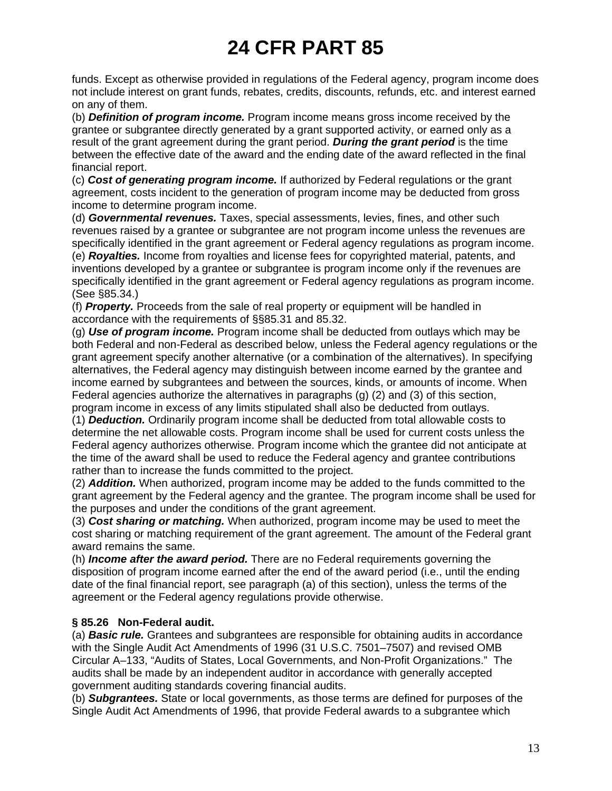funds. Except as otherwise provided in regulations of the Federal agency, program income does not include interest on grant funds, rebates, credits, discounts, refunds, etc. and interest earned on any of them.

(b) *Definition of program income.* Program income means gross income received by the grantee or subgrantee directly generated by a grant supported activity, or earned only as a result of the grant agreement during the grant period. *During the grant period* is the time between the effective date of the award and the ending date of the award reflected in the final financial report.

(c) *Cost of generating program income.* If authorized by Federal regulations or the grant agreement, costs incident to the generation of program income may be deducted from gross income to determine program income.

(d) *Governmental revenues.* Taxes, special assessments, levies, fines, and other such revenues raised by a grantee or subgrantee are not program income unless the revenues are specifically identified in the grant agreement or Federal agency regulations as program income.

(e) *Royalties.* Income from royalties and license fees for copyrighted material, patents, and inventions developed by a grantee or subgrantee is program income only if the revenues are specifically identified in the grant agreement or Federal agency regulations as program income. (See §85.34.)

(f) *Property.* Proceeds from the sale of real property or equipment will be handled in accordance with the requirements of §§85.31 and 85.32.

(g) *Use of program income.* Program income shall be deducted from outlays which may be both Federal and non-Federal as described below, unless the Federal agency regulations or the grant agreement specify another alternative (or a combination of the alternatives). In specifying alternatives, the Federal agency may distinguish between income earned by the grantee and income earned by subgrantees and between the sources, kinds, or amounts of income. When Federal agencies authorize the alternatives in paragraphs (g) (2) and (3) of this section, program income in excess of any limits stipulated shall also be deducted from outlays.

(1) *Deduction.* Ordinarily program income shall be deducted from total allowable costs to determine the net allowable costs. Program income shall be used for current costs unless the Federal agency authorizes otherwise. Program income which the grantee did not anticipate at the time of the award shall be used to reduce the Federal agency and grantee contributions rather than to increase the funds committed to the project.

(2) *Addition.* When authorized, program income may be added to the funds committed to the grant agreement by the Federal agency and the grantee. The program income shall be used for the purposes and under the conditions of the grant agreement.

(3) *Cost sharing or matching.* When authorized, program income may be used to meet the cost sharing or matching requirement of the grant agreement. The amount of the Federal grant award remains the same.

(h) *Income after the award period.* There are no Federal requirements governing the disposition of program income earned after the end of the award period (i.e., until the ending date of the final financial report, see paragraph (a) of this section), unless the terms of the agreement or the Federal agency regulations provide otherwise.

## **§ 85.26 Non-Federal audit.**

(a) *Basic rule.* Grantees and subgrantees are responsible for obtaining audits in accordance with the Single Audit Act Amendments of 1996 (31 U.S.C. 7501–7507) and revised OMB Circular A–133, "Audits of States, Local Governments, and Non-Profit Organizations." The audits shall be made by an independent auditor in accordance with generally accepted government auditing standards covering financial audits.

(b) *Subgrantees.* State or local governments, as those terms are defined for purposes of the Single Audit Act Amendments of 1996, that provide Federal awards to a subgrantee which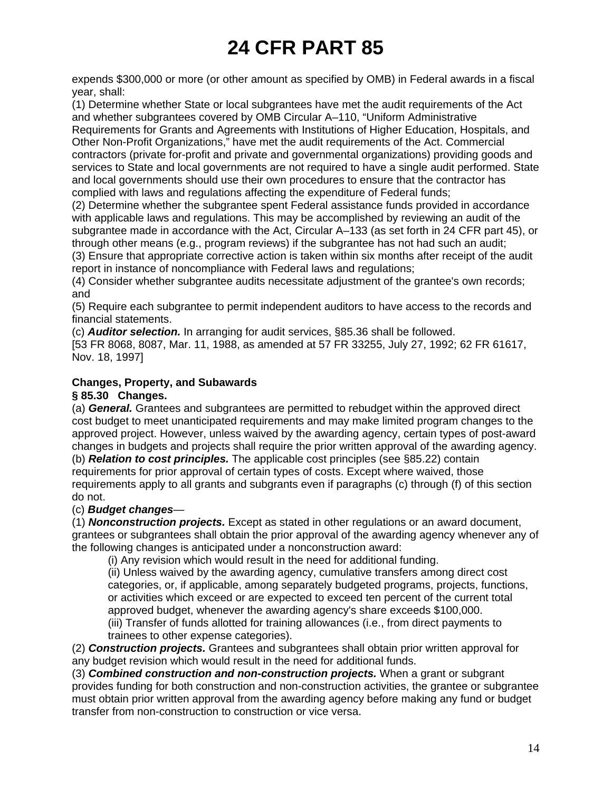expends \$300,000 or more (or other amount as specified by OMB) in Federal awards in a fiscal year, shall:

(1) Determine whether State or local subgrantees have met the audit requirements of the Act and whether subgrantees covered by OMB Circular A–110, "Uniform Administrative Requirements for Grants and Agreements with Institutions of Higher Education, Hospitals, and Other Non-Profit Organizations," have met the audit requirements of the Act. Commercial contractors (private for-profit and private and governmental organizations) providing goods and services to State and local governments are not required to have a single audit performed. State and local governments should use their own procedures to ensure that the contractor has complied with laws and regulations affecting the expenditure of Federal funds;

(2) Determine whether the subgrantee spent Federal assistance funds provided in accordance with applicable laws and regulations. This may be accomplished by reviewing an audit of the subgrantee made in accordance with the Act, Circular A–133 (as set forth in 24 CFR part 45), or through other means (e.g., program reviews) if the subgrantee has not had such an audit;

(3) Ensure that appropriate corrective action is taken within six months after receipt of the audit report in instance of noncompliance with Federal laws and regulations;

(4) Consider whether subgrantee audits necessitate adjustment of the grantee's own records; and

(5) Require each subgrantee to permit independent auditors to have access to the records and financial statements.

(c) *Auditor selection.* In arranging for audit services, §85.36 shall be followed.

[53 FR 8068, 8087, Mar. 11, 1988, as amended at 57 FR 33255, July 27, 1992; 62 FR 61617, Nov. 18, 1997]

# **Changes, Property, and Subawards**

## **§ 85.30 Changes.**

(a) *General.* Grantees and subgrantees are permitted to rebudget within the approved direct cost budget to meet unanticipated requirements and may make limited program changes to the approved project. However, unless waived by the awarding agency, certain types of post-award changes in budgets and projects shall require the prior written approval of the awarding agency.

(b) *Relation to cost principles.* The applicable cost principles (see §85.22) contain requirements for prior approval of certain types of costs. Except where waived, those requirements apply to all grants and subgrants even if paragraphs (c) through (f) of this section do not.

## (c) *Budget changes*—

(1) *Nonconstruction projects.* Except as stated in other regulations or an award document, grantees or subgrantees shall obtain the prior approval of the awarding agency whenever any of the following changes is anticipated under a nonconstruction award:

(i) Any revision which would result in the need for additional funding.

(ii) Unless waived by the awarding agency, cumulative transfers among direct cost categories, or, if applicable, among separately budgeted programs, projects, functions, or activities which exceed or are expected to exceed ten percent of the current total approved budget, whenever the awarding agency's share exceeds \$100,000. (iii) Transfer of funds allotted for training allowances (i.e., from direct payments to trainees to other expense categories).

(2) *Construction projects.* Grantees and subgrantees shall obtain prior written approval for any budget revision which would result in the need for additional funds.

(3) *Combined construction and non-construction projects.* When a grant or subgrant provides funding for both construction and non-construction activities, the grantee or subgrantee must obtain prior written approval from the awarding agency before making any fund or budget transfer from non-construction to construction or vice versa.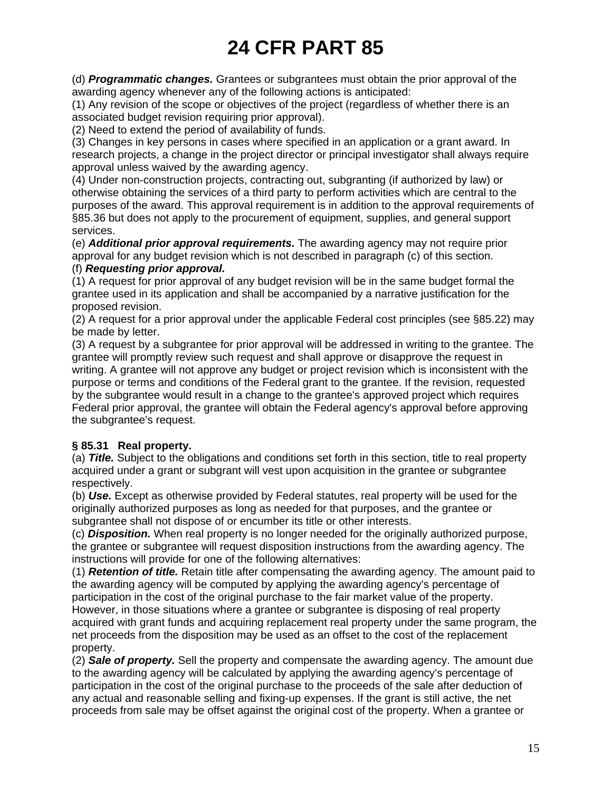(d) *Programmatic changes.* Grantees or subgrantees must obtain the prior approval of the awarding agency whenever any of the following actions is anticipated:

(1) Any revision of the scope or objectives of the project (regardless of whether there is an associated budget revision requiring prior approval).

(2) Need to extend the period of availability of funds.

(3) Changes in key persons in cases where specified in an application or a grant award. In research projects, a change in the project director or principal investigator shall always require approval unless waived by the awarding agency.

(4) Under non-construction projects, contracting out, subgranting (if authorized by law) or otherwise obtaining the services of a third party to perform activities which are central to the purposes of the award. This approval requirement is in addition to the approval requirements of §85.36 but does not apply to the procurement of equipment, supplies, and general support services.

(e) *Additional prior approval requirements.* The awarding agency may not require prior approval for any budget revision which is not described in paragraph (c) of this section.

### (f) *Requesting prior approval.*

(1) A request for prior approval of any budget revision will be in the same budget formal the grantee used in its application and shall be accompanied by a narrative justification for the proposed revision.

(2) A request for a prior approval under the applicable Federal cost principles (see §85.22) may be made by letter.

(3) A request by a subgrantee for prior approval will be addressed in writing to the grantee. The grantee will promptly review such request and shall approve or disapprove the request in writing. A grantee will not approve any budget or project revision which is inconsistent with the purpose or terms and conditions of the Federal grant to the grantee. If the revision, requested by the subgrantee would result in a change to the grantee's approved project which requires Federal prior approval, the grantee will obtain the Federal agency's approval before approving the subgrantee's request.

## **§ 85.31 Real property.**

(a) *Title.* Subject to the obligations and conditions set forth in this section, title to real property acquired under a grant or subgrant will vest upon acquisition in the grantee or subgrantee respectively.

(b) *Use.* Except as otherwise provided by Federal statutes, real property will be used for the originally authorized purposes as long as needed for that purposes, and the grantee or subgrantee shall not dispose of or encumber its title or other interests.

(c) *Disposition.* When real property is no longer needed for the originally authorized purpose, the grantee or subgrantee will request disposition instructions from the awarding agency. The instructions will provide for one of the following alternatives:

(1) *Retention of title.* Retain title after compensating the awarding agency. The amount paid to the awarding agency will be computed by applying the awarding agency's percentage of participation in the cost of the original purchase to the fair market value of the property. However, in those situations where a grantee or subgrantee is disposing of real property acquired with grant funds and acquiring replacement real property under the same program, the net proceeds from the disposition may be used as an offset to the cost of the replacement property.

(2) *Sale of property.* Sell the property and compensate the awarding agency. The amount due to the awarding agency will be calculated by applying the awarding agency's percentage of participation in the cost of the original purchase to the proceeds of the sale after deduction of any actual and reasonable selling and fixing-up expenses. If the grant is still active, the net proceeds from sale may be offset against the original cost of the property. When a grantee or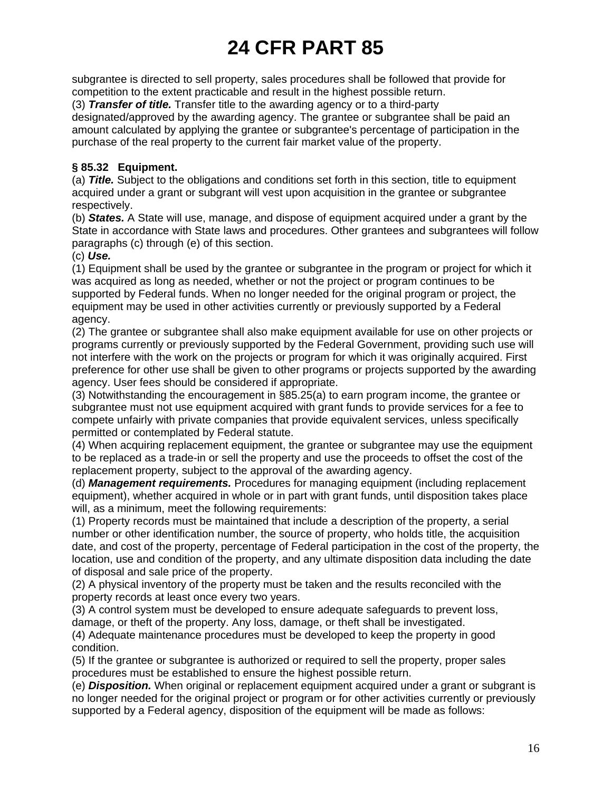subgrantee is directed to sell property, sales procedures shall be followed that provide for competition to the extent practicable and result in the highest possible return.

(3) *Transfer of title.* Transfer title to the awarding agency or to a third-party

designated/approved by the awarding agency. The grantee or subgrantee shall be paid an amount calculated by applying the grantee or subgrantee's percentage of participation in the purchase of the real property to the current fair market value of the property.

# **§ 85.32 Equipment.**

(a) *Title.* Subject to the obligations and conditions set forth in this section, title to equipment acquired under a grant or subgrant will vest upon acquisition in the grantee or subgrantee respectively.

(b) *States.* A State will use, manage, and dispose of equipment acquired under a grant by the State in accordance with State laws and procedures. Other grantees and subgrantees will follow paragraphs (c) through (e) of this section.

(c) *Use.*

(1) Equipment shall be used by the grantee or subgrantee in the program or project for which it was acquired as long as needed, whether or not the project or program continues to be supported by Federal funds. When no longer needed for the original program or project, the equipment may be used in other activities currently or previously supported by a Federal agency.

(2) The grantee or subgrantee shall also make equipment available for use on other projects or programs currently or previously supported by the Federal Government, providing such use will not interfere with the work on the projects or program for which it was originally acquired. First preference for other use shall be given to other programs or projects supported by the awarding agency. User fees should be considered if appropriate.

(3) Notwithstanding the encouragement in §85.25(a) to earn program income, the grantee or subgrantee must not use equipment acquired with grant funds to provide services for a fee to compete unfairly with private companies that provide equivalent services, unless specifically permitted or contemplated by Federal statute.

(4) When acquiring replacement equipment, the grantee or subgrantee may use the equipment to be replaced as a trade-in or sell the property and use the proceeds to offset the cost of the replacement property, subject to the approval of the awarding agency.

(d) *Management requirements.* Procedures for managing equipment (including replacement equipment), whether acquired in whole or in part with grant funds, until disposition takes place will, as a minimum, meet the following requirements:

(1) Property records must be maintained that include a description of the property, a serial number or other identification number, the source of property, who holds title, the acquisition date, and cost of the property, percentage of Federal participation in the cost of the property, the location, use and condition of the property, and any ultimate disposition data including the date of disposal and sale price of the property.

(2) A physical inventory of the property must be taken and the results reconciled with the property records at least once every two years.

(3) A control system must be developed to ensure adequate safeguards to prevent loss, damage, or theft of the property. Any loss, damage, or theft shall be investigated.

(4) Adequate maintenance procedures must be developed to keep the property in good condition.

(5) If the grantee or subgrantee is authorized or required to sell the property, proper sales procedures must be established to ensure the highest possible return.

(e) *Disposition.* When original or replacement equipment acquired under a grant or subgrant is no longer needed for the original project or program or for other activities currently or previously supported by a Federal agency, disposition of the equipment will be made as follows: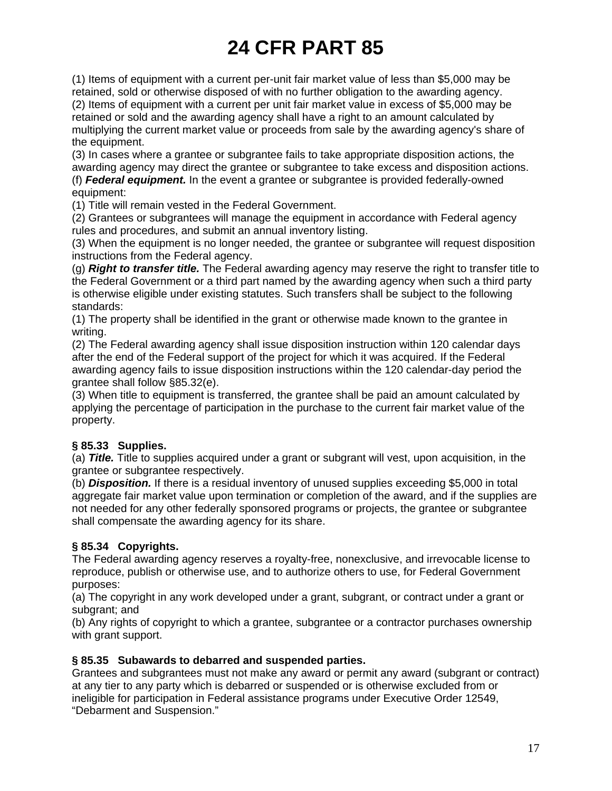(1) Items of equipment with a current per-unit fair market value of less than \$5,000 may be retained, sold or otherwise disposed of with no further obligation to the awarding agency. (2) Items of equipment with a current per unit fair market value in excess of \$5,000 may be retained or sold and the awarding agency shall have a right to an amount calculated by multiplying the current market value or proceeds from sale by the awarding agency's share of the equipment.

(3) In cases where a grantee or subgrantee fails to take appropriate disposition actions, the awarding agency may direct the grantee or subgrantee to take excess and disposition actions. (f) *Federal equipment.* In the event a grantee or subgrantee is provided federally-owned equipment:

(1) Title will remain vested in the Federal Government.

(2) Grantees or subgrantees will manage the equipment in accordance with Federal agency rules and procedures, and submit an annual inventory listing.

(3) When the equipment is no longer needed, the grantee or subgrantee will request disposition instructions from the Federal agency.

(g) *Right to transfer title.* The Federal awarding agency may reserve the right to transfer title to the Federal Government or a third part named by the awarding agency when such a third party is otherwise eligible under existing statutes. Such transfers shall be subject to the following standards:

(1) The property shall be identified in the grant or otherwise made known to the grantee in writing.

(2) The Federal awarding agency shall issue disposition instruction within 120 calendar days after the end of the Federal support of the project for which it was acquired. If the Federal awarding agency fails to issue disposition instructions within the 120 calendar-day period the grantee shall follow §85.32(e).

(3) When title to equipment is transferred, the grantee shall be paid an amount calculated by applying the percentage of participation in the purchase to the current fair market value of the property.

# **§ 85.33 Supplies.**

(a) *Title.* Title to supplies acquired under a grant or subgrant will vest, upon acquisition, in the grantee or subgrantee respectively.

(b) *Disposition.* If there is a residual inventory of unused supplies exceeding \$5,000 in total aggregate fair market value upon termination or completion of the award, and if the supplies are not needed for any other federally sponsored programs or projects, the grantee or subgrantee shall compensate the awarding agency for its share.

# **§ 85.34 Copyrights.**

The Federal awarding agency reserves a royalty-free, nonexclusive, and irrevocable license to reproduce, publish or otherwise use, and to authorize others to use, for Federal Government purposes:

(a) The copyright in any work developed under a grant, subgrant, or contract under a grant or subgrant; and

(b) Any rights of copyright to which a grantee, subgrantee or a contractor purchases ownership with grant support.

# **§ 85.35 Subawards to debarred and suspended parties.**

Grantees and subgrantees must not make any award or permit any award (subgrant or contract) at any tier to any party which is debarred or suspended or is otherwise excluded from or ineligible for participation in Federal assistance programs under Executive Order 12549, "Debarment and Suspension."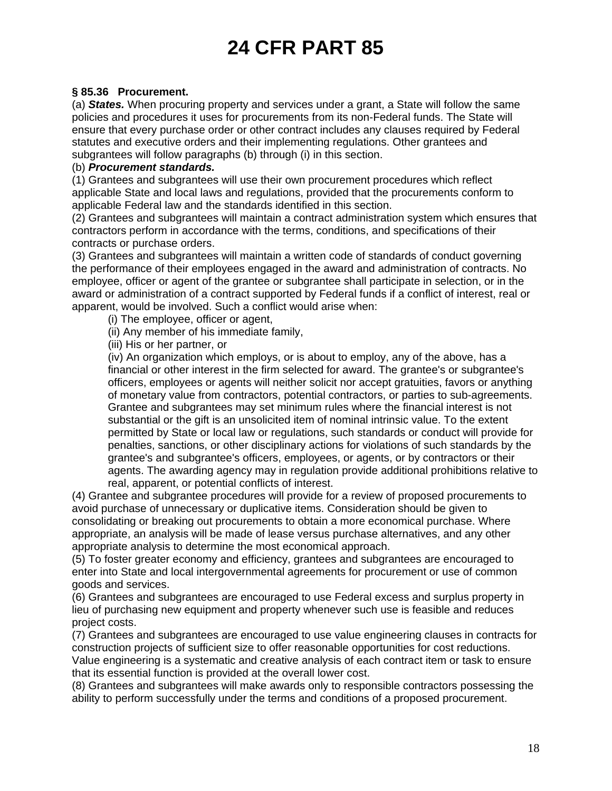### **§ 85.36 Procurement.**

(a) *States.* When procuring property and services under a grant, a State will follow the same policies and procedures it uses for procurements from its non-Federal funds. The State will ensure that every purchase order or other contract includes any clauses required by Federal statutes and executive orders and their implementing regulations. Other grantees and subgrantees will follow paragraphs (b) through (i) in this section.

### (b) *Procurement standards.*

(1) Grantees and subgrantees will use their own procurement procedures which reflect applicable State and local laws and regulations, provided that the procurements conform to applicable Federal law and the standards identified in this section.

(2) Grantees and subgrantees will maintain a contract administration system which ensures that contractors perform in accordance with the terms, conditions, and specifications of their contracts or purchase orders.

(3) Grantees and subgrantees will maintain a written code of standards of conduct governing the performance of their employees engaged in the award and administration of contracts. No employee, officer or agent of the grantee or subgrantee shall participate in selection, or in the award or administration of a contract supported by Federal funds if a conflict of interest, real or apparent, would be involved. Such a conflict would arise when:

- (i) The employee, officer or agent,
- (ii) Any member of his immediate family,

(iii) His or her partner, or

(iv) An organization which employs, or is about to employ, any of the above, has a financial or other interest in the firm selected for award. The grantee's or subgrantee's officers, employees or agents will neither solicit nor accept gratuities, favors or anything of monetary value from contractors, potential contractors, or parties to sub-agreements. Grantee and subgrantees may set minimum rules where the financial interest is not substantial or the gift is an unsolicited item of nominal intrinsic value. To the extent permitted by State or local law or regulations, such standards or conduct will provide for penalties, sanctions, or other disciplinary actions for violations of such standards by the grantee's and subgrantee's officers, employees, or agents, or by contractors or their agents. The awarding agency may in regulation provide additional prohibitions relative to real, apparent, or potential conflicts of interest.

(4) Grantee and subgrantee procedures will provide for a review of proposed procurements to avoid purchase of unnecessary or duplicative items. Consideration should be given to consolidating or breaking out procurements to obtain a more economical purchase. Where appropriate, an analysis will be made of lease versus purchase alternatives, and any other appropriate analysis to determine the most economical approach.

(5) To foster greater economy and efficiency, grantees and subgrantees are encouraged to enter into State and local intergovernmental agreements for procurement or use of common goods and services.

(6) Grantees and subgrantees are encouraged to use Federal excess and surplus property in lieu of purchasing new equipment and property whenever such use is feasible and reduces project costs.

(7) Grantees and subgrantees are encouraged to use value engineering clauses in contracts for construction projects of sufficient size to offer reasonable opportunities for cost reductions. Value engineering is a systematic and creative analysis of each contract item or task to ensure that its essential function is provided at the overall lower cost.

(8) Grantees and subgrantees will make awards only to responsible contractors possessing the ability to perform successfully under the terms and conditions of a proposed procurement.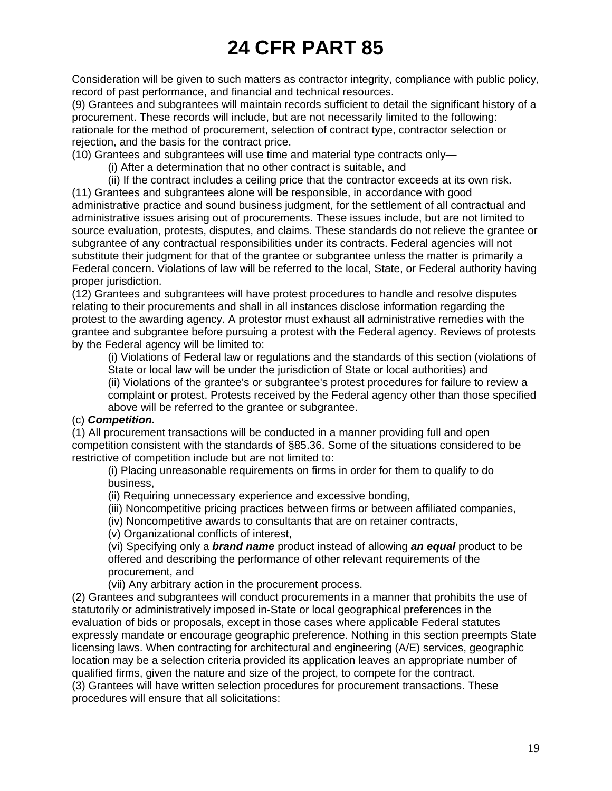Consideration will be given to such matters as contractor integrity, compliance with public policy, record of past performance, and financial and technical resources.

(9) Grantees and subgrantees will maintain records sufficient to detail the significant history of a procurement. These records will include, but are not necessarily limited to the following: rationale for the method of procurement, selection of contract type, contractor selection or rejection, and the basis for the contract price.

(10) Grantees and subgrantees will use time and material type contracts only—

(i) After a determination that no other contract is suitable, and

(ii) If the contract includes a ceiling price that the contractor exceeds at its own risk. (11) Grantees and subgrantees alone will be responsible, in accordance with good administrative practice and sound business judgment, for the settlement of all contractual and administrative issues arising out of procurements. These issues include, but are not limited to source evaluation, protests, disputes, and claims. These standards do not relieve the grantee or subgrantee of any contractual responsibilities under its contracts. Federal agencies will not substitute their judgment for that of the grantee or subgrantee unless the matter is primarily a Federal concern. Violations of law will be referred to the local, State, or Federal authority having proper jurisdiction.

(12) Grantees and subgrantees will have protest procedures to handle and resolve disputes relating to their procurements and shall in all instances disclose information regarding the protest to the awarding agency. A protestor must exhaust all administrative remedies with the grantee and subgrantee before pursuing a protest with the Federal agency. Reviews of protests by the Federal agency will be limited to:

(i) Violations of Federal law or regulations and the standards of this section (violations of State or local law will be under the jurisdiction of State or local authorities) and (ii) Violations of the grantee's or subgrantee's protest procedures for failure to review a complaint or protest. Protests received by the Federal agency other than those specified above will be referred to the grantee or subgrantee.

### (c) *Competition.*

(1) All procurement transactions will be conducted in a manner providing full and open competition consistent with the standards of §85.36. Some of the situations considered to be restrictive of competition include but are not limited to:

(i) Placing unreasonable requirements on firms in order for them to qualify to do business,

(ii) Requiring unnecessary experience and excessive bonding,

(iii) Noncompetitive pricing practices between firms or between affiliated companies,

(iv) Noncompetitive awards to consultants that are on retainer contracts,

(v) Organizational conflicts of interest,

(vi) Specifying only a *brand name* product instead of allowing *an equal* product to be offered and describing the performance of other relevant requirements of the procurement, and

(vii) Any arbitrary action in the procurement process.

(2) Grantees and subgrantees will conduct procurements in a manner that prohibits the use of statutorily or administratively imposed in-State or local geographical preferences in the evaluation of bids or proposals, except in those cases where applicable Federal statutes expressly mandate or encourage geographic preference. Nothing in this section preempts State licensing laws. When contracting for architectural and engineering (A/E) services, geographic location may be a selection criteria provided its application leaves an appropriate number of qualified firms, given the nature and size of the project, to compete for the contract. (3) Grantees will have written selection procedures for procurement transactions. These procedures will ensure that all solicitations: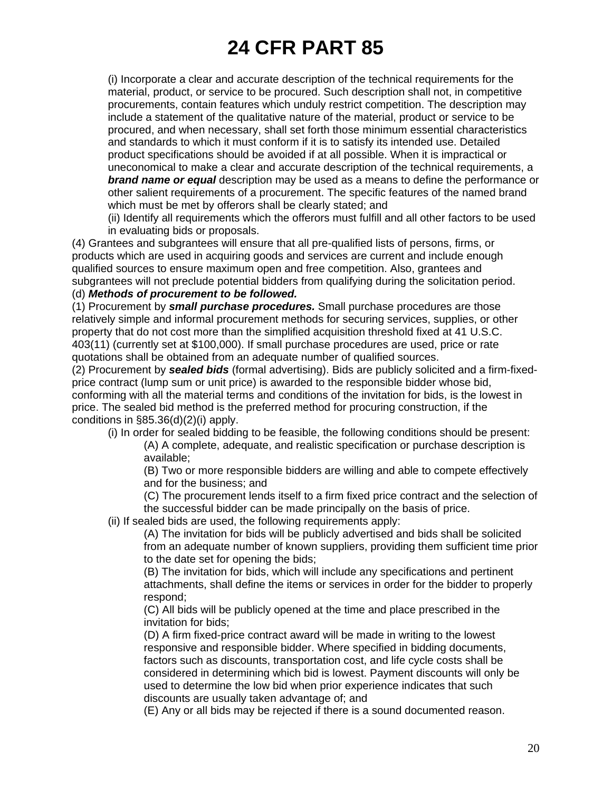(i) Incorporate a clear and accurate description of the technical requirements for the material, product, or service to be procured. Such description shall not, in competitive procurements, contain features which unduly restrict competition. The description may include a statement of the qualitative nature of the material, product or service to be procured, and when necessary, shall set forth those minimum essential characteristics and standards to which it must conform if it is to satisfy its intended use. Detailed product specifications should be avoided if at all possible. When it is impractical or uneconomical to make a clear and accurate description of the technical requirements, a *brand name or equal* description may be used as a means to define the performance or other salient requirements of a procurement. The specific features of the named brand which must be met by offerors shall be clearly stated; and

(ii) Identify all requirements which the offerors must fulfill and all other factors to be used in evaluating bids or proposals.

(4) Grantees and subgrantees will ensure that all pre-qualified lists of persons, firms, or products which are used in acquiring goods and services are current and include enough qualified sources to ensure maximum open and free competition. Also, grantees and subgrantees will not preclude potential bidders from qualifying during the solicitation period.

### (d) *Methods of procurement to be followed.*

(1) Procurement by *small purchase procedures.* Small purchase procedures are those relatively simple and informal procurement methods for securing services, supplies, or other property that do not cost more than the simplified acquisition threshold fixed at 41 U.S.C. 403(11) (currently set at \$100,000). If small purchase procedures are used, price or rate quotations shall be obtained from an adequate number of qualified sources.

(2) Procurement by *sealed bids* (formal advertising). Bids are publicly solicited and a firm-fixedprice contract (lump sum or unit price) is awarded to the responsible bidder whose bid, conforming with all the material terms and conditions of the invitation for bids, is the lowest in price. The sealed bid method is the preferred method for procuring construction, if the conditions in §85.36(d)(2)(i) apply.

(i) In order for sealed bidding to be feasible, the following conditions should be present: (A) A complete, adequate, and realistic specification or purchase description is available;

(B) Two or more responsible bidders are willing and able to compete effectively and for the business; and

(C) The procurement lends itself to a firm fixed price contract and the selection of the successful bidder can be made principally on the basis of price.

(ii) If sealed bids are used, the following requirements apply:

(A) The invitation for bids will be publicly advertised and bids shall be solicited from an adequate number of known suppliers, providing them sufficient time prior to the date set for opening the bids;

(B) The invitation for bids, which will include any specifications and pertinent attachments, shall define the items or services in order for the bidder to properly respond;

(C) All bids will be publicly opened at the time and place prescribed in the invitation for bids;

(D) A firm fixed-price contract award will be made in writing to the lowest responsive and responsible bidder. Where specified in bidding documents, factors such as discounts, transportation cost, and life cycle costs shall be considered in determining which bid is lowest. Payment discounts will only be used to determine the low bid when prior experience indicates that such discounts are usually taken advantage of; and

(E) Any or all bids may be rejected if there is a sound documented reason.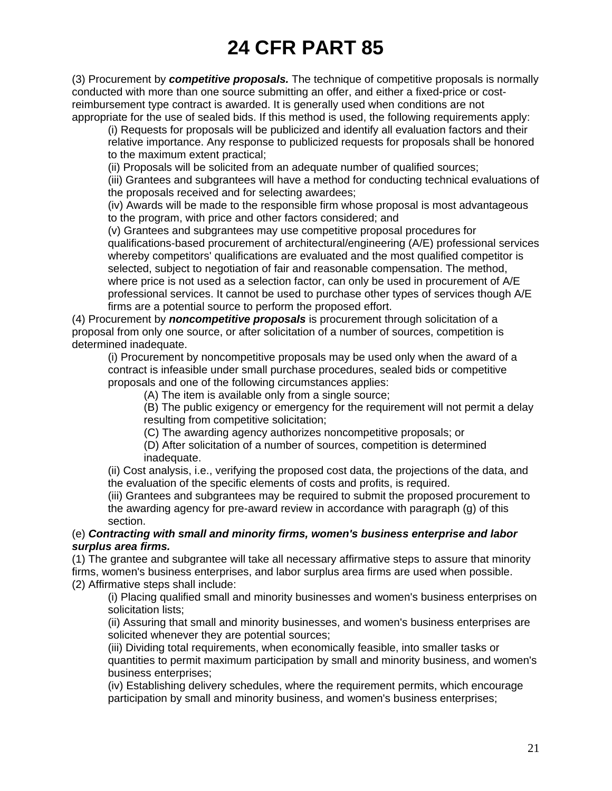(3) Procurement by *competitive proposals.* The technique of competitive proposals is normally conducted with more than one source submitting an offer, and either a fixed-price or costreimbursement type contract is awarded. It is generally used when conditions are not appropriate for the use of sealed bids. If this method is used, the following requirements apply:

(i) Requests for proposals will be publicized and identify all evaluation factors and their relative importance. Any response to publicized requests for proposals shall be honored to the maximum extent practical;

(ii) Proposals will be solicited from an adequate number of qualified sources;

(iii) Grantees and subgrantees will have a method for conducting technical evaluations of the proposals received and for selecting awardees;

(iv) Awards will be made to the responsible firm whose proposal is most advantageous to the program, with price and other factors considered; and

(v) Grantees and subgrantees may use competitive proposal procedures for qualifications-based procurement of architectural/engineering (A/E) professional services whereby competitors' qualifications are evaluated and the most qualified competitor is selected, subject to negotiation of fair and reasonable compensation. The method, where price is not used as a selection factor, can only be used in procurement of A/E professional services. It cannot be used to purchase other types of services though A/E firms are a potential source to perform the proposed effort.

(4) Procurement by *noncompetitive proposals* is procurement through solicitation of a proposal from only one source, or after solicitation of a number of sources, competition is determined inadequate.

(i) Procurement by noncompetitive proposals may be used only when the award of a contract is infeasible under small purchase procedures, sealed bids or competitive proposals and one of the following circumstances applies:

(A) The item is available only from a single source;

(B) The public exigency or emergency for the requirement will not permit a delay resulting from competitive solicitation;

(C) The awarding agency authorizes noncompetitive proposals; or

(D) After solicitation of a number of sources, competition is determined inadequate.

(ii) Cost analysis, i.e., verifying the proposed cost data, the projections of the data, and the evaluation of the specific elements of costs and profits, is required.

(iii) Grantees and subgrantees may be required to submit the proposed procurement to the awarding agency for pre-award review in accordance with paragraph (g) of this section.

### (e) *Contracting with small and minority firms, women's business enterprise and labor surplus area firms.*

(1) The grantee and subgrantee will take all necessary affirmative steps to assure that minority firms, women's business enterprises, and labor surplus area firms are used when possible. (2) Affirmative steps shall include:

(i) Placing qualified small and minority businesses and women's business enterprises on solicitation lists;

(ii) Assuring that small and minority businesses, and women's business enterprises are solicited whenever they are potential sources;

(iii) Dividing total requirements, when economically feasible, into smaller tasks or quantities to permit maximum participation by small and minority business, and women's business enterprises;

(iv) Establishing delivery schedules, where the requirement permits, which encourage participation by small and minority business, and women's business enterprises;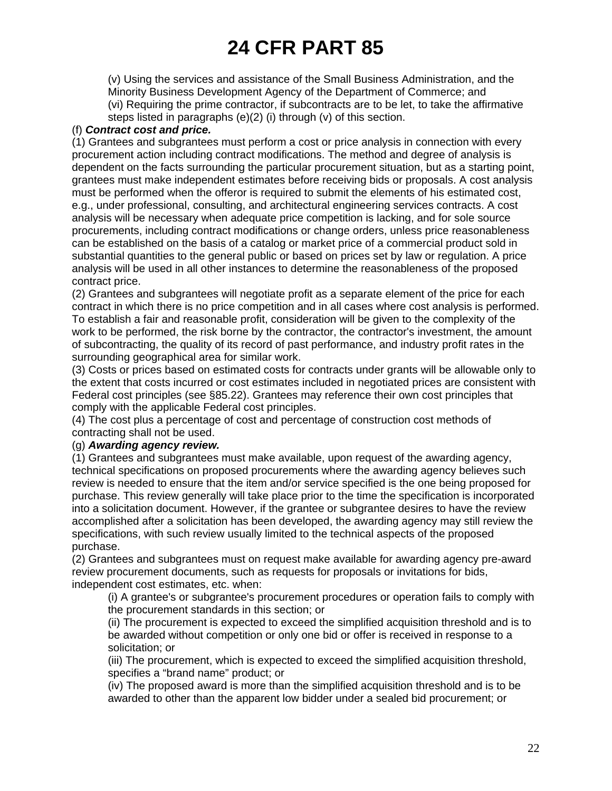(v) Using the services and assistance of the Small Business Administration, and the Minority Business Development Agency of the Department of Commerce; and (vi) Requiring the prime contractor, if subcontracts are to be let, to take the affirmative steps listed in paragraphs (e)(2) (i) through (v) of this section.

#### (f) *Contract cost and price.*

(1) Grantees and subgrantees must perform a cost or price analysis in connection with every procurement action including contract modifications. The method and degree of analysis is dependent on the facts surrounding the particular procurement situation, but as a starting point, grantees must make independent estimates before receiving bids or proposals. A cost analysis must be performed when the offeror is required to submit the elements of his estimated cost, e.g., under professional, consulting, and architectural engineering services contracts. A cost analysis will be necessary when adequate price competition is lacking, and for sole source procurements, including contract modifications or change orders, unless price reasonableness can be established on the basis of a catalog or market price of a commercial product sold in substantial quantities to the general public or based on prices set by law or regulation. A price analysis will be used in all other instances to determine the reasonableness of the proposed contract price.

(2) Grantees and subgrantees will negotiate profit as a separate element of the price for each contract in which there is no price competition and in all cases where cost analysis is performed. To establish a fair and reasonable profit, consideration will be given to the complexity of the work to be performed, the risk borne by the contractor, the contractor's investment, the amount of subcontracting, the quality of its record of past performance, and industry profit rates in the surrounding geographical area for similar work.

(3) Costs or prices based on estimated costs for contracts under grants will be allowable only to the extent that costs incurred or cost estimates included in negotiated prices are consistent with Federal cost principles (see §85.22). Grantees may reference their own cost principles that comply with the applicable Federal cost principles.

(4) The cost plus a percentage of cost and percentage of construction cost methods of contracting shall not be used.

### (g) *Awarding agency review.*

(1) Grantees and subgrantees must make available, upon request of the awarding agency, technical specifications on proposed procurements where the awarding agency believes such review is needed to ensure that the item and/or service specified is the one being proposed for purchase. This review generally will take place prior to the time the specification is incorporated into a solicitation document. However, if the grantee or subgrantee desires to have the review accomplished after a solicitation has been developed, the awarding agency may still review the specifications, with such review usually limited to the technical aspects of the proposed purchase.

(2) Grantees and subgrantees must on request make available for awarding agency pre-award review procurement documents, such as requests for proposals or invitations for bids, independent cost estimates, etc. when:

(i) A grantee's or subgrantee's procurement procedures or operation fails to comply with the procurement standards in this section; or

(ii) The procurement is expected to exceed the simplified acquisition threshold and is to be awarded without competition or only one bid or offer is received in response to a solicitation; or

(iii) The procurement, which is expected to exceed the simplified acquisition threshold, specifies a "brand name" product; or

(iv) The proposed award is more than the simplified acquisition threshold and is to be awarded to other than the apparent low bidder under a sealed bid procurement; or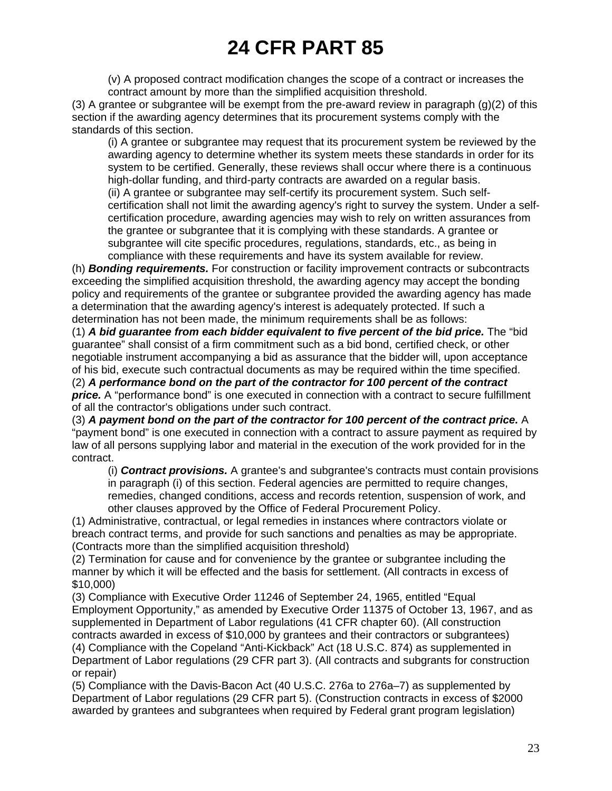(v) A proposed contract modification changes the scope of a contract or increases the contract amount by more than the simplified acquisition threshold.

(3) A grantee or subgrantee will be exempt from the pre-award review in paragraph (g)(2) of this section if the awarding agency determines that its procurement systems comply with the standards of this section.

(i) A grantee or subgrantee may request that its procurement system be reviewed by the awarding agency to determine whether its system meets these standards in order for its system to be certified. Generally, these reviews shall occur where there is a continuous high-dollar funding, and third-party contracts are awarded on a regular basis. (ii) A grantee or subgrantee may self-certify its procurement system. Such selfcertification shall not limit the awarding agency's right to survey the system. Under a selfcertification procedure, awarding agencies may wish to rely on written assurances from the grantee or subgrantee that it is complying with these standards. A grantee or subgrantee will cite specific procedures, regulations, standards, etc., as being in compliance with these requirements and have its system available for review.

(h) *Bonding requirements.* For construction or facility improvement contracts or subcontracts exceeding the simplified acquisition threshold, the awarding agency may accept the bonding policy and requirements of the grantee or subgrantee provided the awarding agency has made a determination that the awarding agency's interest is adequately protected. If such a determination has not been made, the minimum requirements shall be as follows:

(1) *A bid guarantee from each bidder equivalent to five percent of the bid price.* The "bid guarantee" shall consist of a firm commitment such as a bid bond, certified check, or other negotiable instrument accompanying a bid as assurance that the bidder will, upon acceptance of his bid, execute such contractual documents as may be required within the time specified.

(2) *A performance bond on the part of the contractor for 100 percent of the contract price.* A "performance bond" is one executed in connection with a contract to secure fulfillment of all the contractor's obligations under such contract.

(3) *A payment bond on the part of the contractor for 100 percent of the contract price.* A "payment bond" is one executed in connection with a contract to assure payment as required by law of all persons supplying labor and material in the execution of the work provided for in the contract.

(i) *Contract provisions.* A grantee's and subgrantee's contracts must contain provisions in paragraph (i) of this section. Federal agencies are permitted to require changes, remedies, changed conditions, access and records retention, suspension of work, and other clauses approved by the Office of Federal Procurement Policy.

(1) Administrative, contractual, or legal remedies in instances where contractors violate or breach contract terms, and provide for such sanctions and penalties as may be appropriate. (Contracts more than the simplified acquisition threshold)

(2) Termination for cause and for convenience by the grantee or subgrantee including the manner by which it will be effected and the basis for settlement. (All contracts in excess of \$10,000)

(3) Compliance with Executive Order 11246 of September 24, 1965, entitled "Equal Employment Opportunity," as amended by Executive Order 11375 of October 13, 1967, and as supplemented in Department of Labor regulations (41 CFR chapter 60). (All construction contracts awarded in excess of \$10,000 by grantees and their contractors or subgrantees) (4) Compliance with the Copeland "Anti-Kickback" Act (18 U.S.C. 874) as supplemented in

Department of Labor regulations (29 CFR part 3). (All contracts and subgrants for construction or repair)

(5) Compliance with the Davis-Bacon Act (40 U.S.C. 276a to 276a–7) as supplemented by Department of Labor regulations (29 CFR part 5). (Construction contracts in excess of \$2000 awarded by grantees and subgrantees when required by Federal grant program legislation)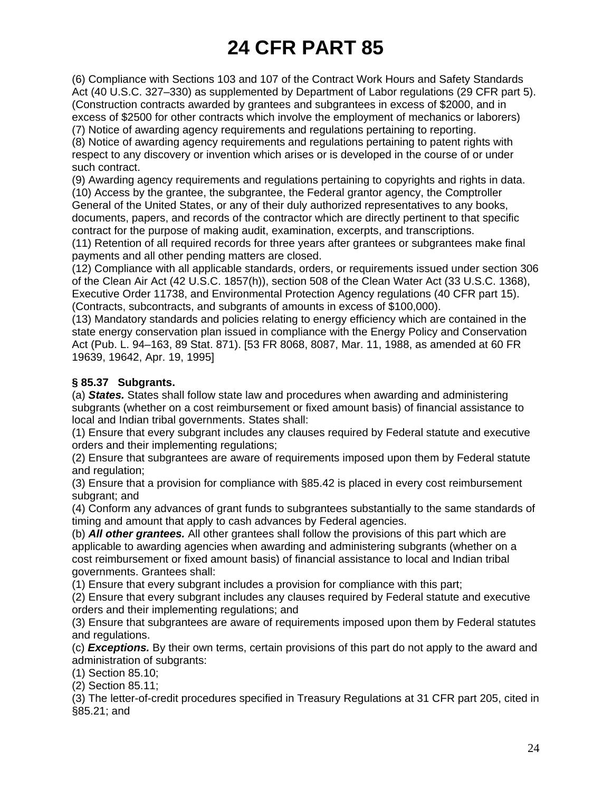(6) Compliance with Sections 103 and 107 of the Contract Work Hours and Safety Standards Act (40 U.S.C. 327–330) as supplemented by Department of Labor regulations (29 CFR part 5). (Construction contracts awarded by grantees and subgrantees in excess of \$2000, and in excess of \$2500 for other contracts which involve the employment of mechanics or laborers) (7) Notice of awarding agency requirements and regulations pertaining to reporting.

(8) Notice of awarding agency requirements and regulations pertaining to patent rights with respect to any discovery or invention which arises or is developed in the course of or under such contract.

(9) Awarding agency requirements and regulations pertaining to copyrights and rights in data. (10) Access by the grantee, the subgrantee, the Federal grantor agency, the Comptroller General of the United States, or any of their duly authorized representatives to any books, documents, papers, and records of the contractor which are directly pertinent to that specific contract for the purpose of making audit, examination, excerpts, and transcriptions.

(11) Retention of all required records for three years after grantees or subgrantees make final payments and all other pending matters are closed.

(12) Compliance with all applicable standards, orders, or requirements issued under section 306 of the Clean Air Act (42 U.S.C. 1857(h)), section 508 of the Clean Water Act (33 U.S.C. 1368), Executive Order 11738, and Environmental Protection Agency regulations (40 CFR part 15). (Contracts, subcontracts, and subgrants of amounts in excess of \$100,000).

(13) Mandatory standards and policies relating to energy efficiency which are contained in the state energy conservation plan issued in compliance with the Energy Policy and Conservation Act (Pub. L. 94–163, 89 Stat. 871). [53 FR 8068, 8087, Mar. 11, 1988, as amended at 60 FR 19639, 19642, Apr. 19, 1995]

## **§ 85.37 Subgrants.**

(a) *States.* States shall follow state law and procedures when awarding and administering subgrants (whether on a cost reimbursement or fixed amount basis) of financial assistance to local and Indian tribal governments. States shall:

(1) Ensure that every subgrant includes any clauses required by Federal statute and executive orders and their implementing regulations;

(2) Ensure that subgrantees are aware of requirements imposed upon them by Federal statute and regulation;

(3) Ensure that a provision for compliance with §85.42 is placed in every cost reimbursement subgrant; and

(4) Conform any advances of grant funds to subgrantees substantially to the same standards of timing and amount that apply to cash advances by Federal agencies.

(b) *All other grantees.* All other grantees shall follow the provisions of this part which are applicable to awarding agencies when awarding and administering subgrants (whether on a cost reimbursement or fixed amount basis) of financial assistance to local and Indian tribal governments. Grantees shall:

(1) Ensure that every subgrant includes a provision for compliance with this part;

(2) Ensure that every subgrant includes any clauses required by Federal statute and executive orders and their implementing regulations; and

(3) Ensure that subgrantees are aware of requirements imposed upon them by Federal statutes and regulations.

(c) *Exceptions.* By their own terms, certain provisions of this part do not apply to the award and administration of subgrants:

(1) Section 85.10;

(2) Section 85.11;

(3) The letter-of-credit procedures specified in Treasury Regulations at 31 CFR part 205, cited in §85.21; and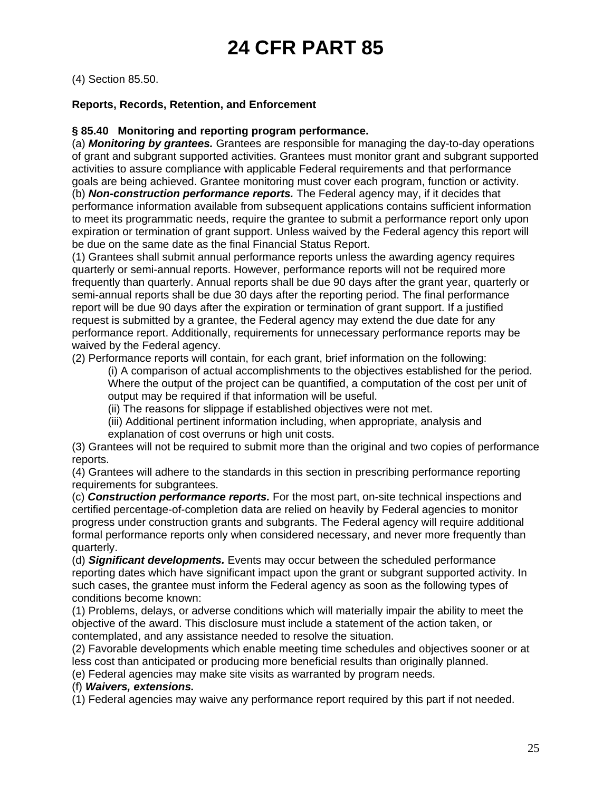(4) Section 85.50.

### **Reports, Records, Retention, and Enforcement**

### **§ 85.40 Monitoring and reporting program performance.**

(a) *Monitoring by grantees.* Grantees are responsible for managing the day-to-day operations of grant and subgrant supported activities. Grantees must monitor grant and subgrant supported activities to assure compliance with applicable Federal requirements and that performance goals are being achieved. Grantee monitoring must cover each program, function or activity. (b) *Non-construction performance reports.* The Federal agency may, if it decides that

performance information available from subsequent applications contains sufficient information to meet its programmatic needs, require the grantee to submit a performance report only upon expiration or termination of grant support. Unless waived by the Federal agency this report will be due on the same date as the final Financial Status Report.

(1) Grantees shall submit annual performance reports unless the awarding agency requires quarterly or semi-annual reports. However, performance reports will not be required more frequently than quarterly. Annual reports shall be due 90 days after the grant year, quarterly or semi-annual reports shall be due 30 days after the reporting period. The final performance report will be due 90 days after the expiration or termination of grant support. If a justified request is submitted by a grantee, the Federal agency may extend the due date for any performance report. Additionally, requirements for unnecessary performance reports may be waived by the Federal agency.

(2) Performance reports will contain, for each grant, brief information on the following:

(i) A comparison of actual accomplishments to the objectives established for the period. Where the output of the project can be quantified, a computation of the cost per unit of output may be required if that information will be useful.

(ii) The reasons for slippage if established objectives were not met.

(iii) Additional pertinent information including, when appropriate, analysis and explanation of cost overruns or high unit costs.

(3) Grantees will not be required to submit more than the original and two copies of performance reports.

(4) Grantees will adhere to the standards in this section in prescribing performance reporting requirements for subgrantees.

(c) *Construction performance reports.* For the most part, on-site technical inspections and certified percentage-of-completion data are relied on heavily by Federal agencies to monitor progress under construction grants and subgrants. The Federal agency will require additional formal performance reports only when considered necessary, and never more frequently than quarterly.

(d) *Significant developments.* Events may occur between the scheduled performance reporting dates which have significant impact upon the grant or subgrant supported activity. In such cases, the grantee must inform the Federal agency as soon as the following types of conditions become known:

(1) Problems, delays, or adverse conditions which will materially impair the ability to meet the objective of the award. This disclosure must include a statement of the action taken, or contemplated, and any assistance needed to resolve the situation.

(2) Favorable developments which enable meeting time schedules and objectives sooner or at less cost than anticipated or producing more beneficial results than originally planned.

(e) Federal agencies may make site visits as warranted by program needs.

(f) *Waivers, extensions.*

(1) Federal agencies may waive any performance report required by this part if not needed.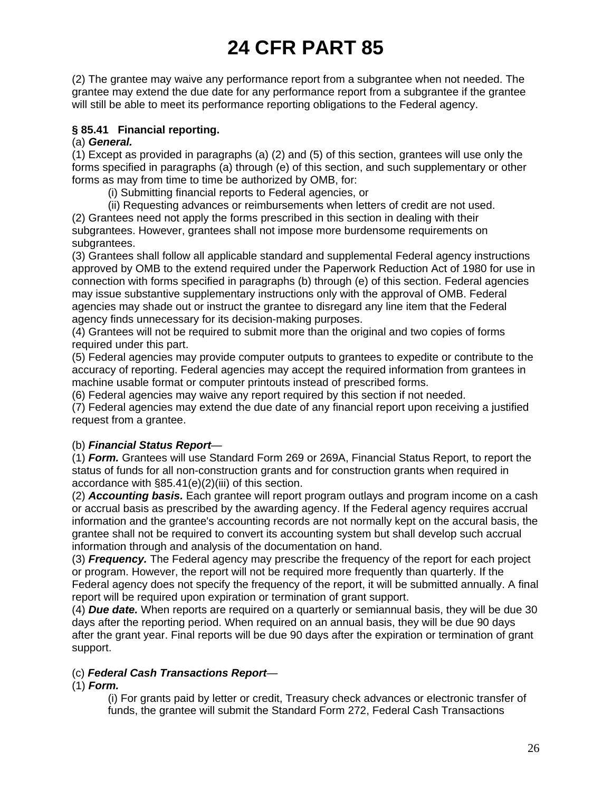(2) The grantee may waive any performance report from a subgrantee when not needed. The grantee may extend the due date for any performance report from a subgrantee if the grantee will still be able to meet its performance reporting obligations to the Federal agency.

## **§ 85.41 Financial reporting.**

### (a) *General.*

(1) Except as provided in paragraphs (a) (2) and (5) of this section, grantees will use only the forms specified in paragraphs (a) through (e) of this section, and such supplementary or other forms as may from time to time be authorized by OMB, for:

(i) Submitting financial reports to Federal agencies, or

(ii) Requesting advances or reimbursements when letters of credit are not used.

(2) Grantees need not apply the forms prescribed in this section in dealing with their subgrantees. However, grantees shall not impose more burdensome requirements on subgrantees.

(3) Grantees shall follow all applicable standard and supplemental Federal agency instructions approved by OMB to the extend required under the Paperwork Reduction Act of 1980 for use in connection with forms specified in paragraphs (b) through (e) of this section. Federal agencies may issue substantive supplementary instructions only with the approval of OMB. Federal agencies may shade out or instruct the grantee to disregard any line item that the Federal agency finds unnecessary for its decision-making purposes.

(4) Grantees will not be required to submit more than the original and two copies of forms required under this part.

(5) Federal agencies may provide computer outputs to grantees to expedite or contribute to the accuracy of reporting. Federal agencies may accept the required information from grantees in machine usable format or computer printouts instead of prescribed forms.

(6) Federal agencies may waive any report required by this section if not needed.

(7) Federal agencies may extend the due date of any financial report upon receiving a justified request from a grantee.

## (b) *Financial Status Report*—

(1) *Form.* Grantees will use Standard Form 269 or 269A, Financial Status Report, to report the status of funds for all non-construction grants and for construction grants when required in accordance with §85.41(e)(2)(iii) of this section.

(2) *Accounting basis.* Each grantee will report program outlays and program income on a cash or accrual basis as prescribed by the awarding agency. If the Federal agency requires accrual information and the grantee's accounting records are not normally kept on the accural basis, the grantee shall not be required to convert its accounting system but shall develop such accrual information through and analysis of the documentation on hand.

(3) *Frequency.* The Federal agency may prescribe the frequency of the report for each project or program. However, the report will not be required more frequently than quarterly. If the Federal agency does not specify the frequency of the report, it will be submitted annually. A final report will be required upon expiration or termination of grant support.

(4) *Due date.* When reports are required on a quarterly or semiannual basis, they will be due 30 days after the reporting period. When required on an annual basis, they will be due 90 days after the grant year. Final reports will be due 90 days after the expiration or termination of grant support.

# (c) *Federal Cash Transactions Report*—

## (1) *Form.*

(i) For grants paid by letter or credit, Treasury check advances or electronic transfer of funds, the grantee will submit the Standard Form 272, Federal Cash Transactions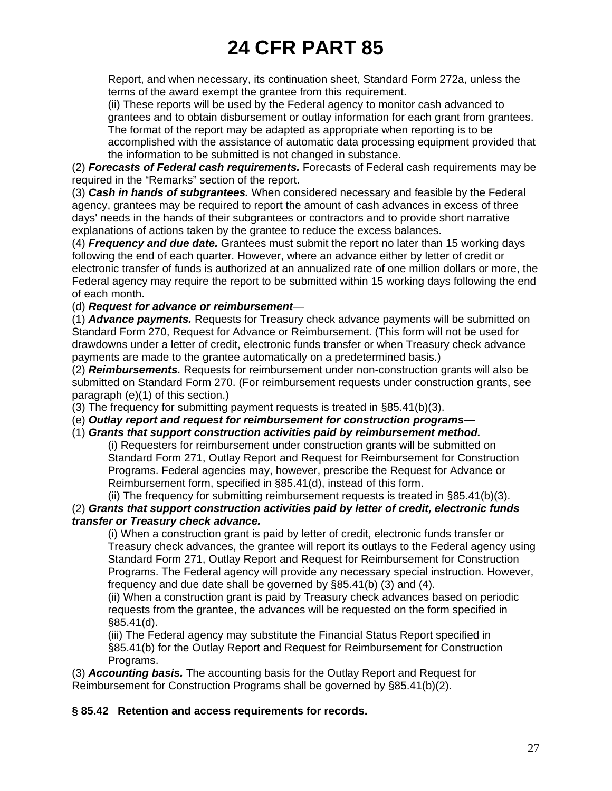Report, and when necessary, its continuation sheet, Standard Form 272a, unless the terms of the award exempt the grantee from this requirement.

(ii) These reports will be used by the Federal agency to monitor cash advanced to grantees and to obtain disbursement or outlay information for each grant from grantees. The format of the report may be adapted as appropriate when reporting is to be accomplished with the assistance of automatic data processing equipment provided that the information to be submitted is not changed in substance.

(2) *Forecasts of Federal cash requirements.* Forecasts of Federal cash requirements may be required in the "Remarks" section of the report.

(3) *Cash in hands of subgrantees.* When considered necessary and feasible by the Federal agency, grantees may be required to report the amount of cash advances in excess of three days' needs in the hands of their subgrantees or contractors and to provide short narrative explanations of actions taken by the grantee to reduce the excess balances.

(4) *Frequency and due date.* Grantees must submit the report no later than 15 working days following the end of each quarter. However, where an advance either by letter of credit or electronic transfer of funds is authorized at an annualized rate of one million dollars or more, the Federal agency may require the report to be submitted within 15 working days following the end of each month.

(d) *Request for advance or reimbursement*—

(1) *Advance payments.* Requests for Treasury check advance payments will be submitted on Standard Form 270, Request for Advance or Reimbursement. (This form will not be used for drawdowns under a letter of credit, electronic funds transfer or when Treasury check advance payments are made to the grantee automatically on a predetermined basis.)

(2) *Reimbursements.* Requests for reimbursement under non-construction grants will also be submitted on Standard Form 270. (For reimbursement requests under construction grants, see paragraph (e)(1) of this section.)

(3) The frequency for submitting payment requests is treated in §85.41(b)(3).

(e) *Outlay report and request for reimbursement for construction programs*—

### (1) *Grants that support construction activities paid by reimbursement method.*

(i) Requesters for reimbursement under construction grants will be submitted on Standard Form 271, Outlay Report and Request for Reimbursement for Construction Programs. Federal agencies may, however, prescribe the Request for Advance or Reimbursement form, specified in §85.41(d), instead of this form.

#### (ii) The frequency for submitting reimbursement requests is treated in §85.41(b)(3). (2) *Grants that support construction activities paid by letter of credit, electronic funds transfer or Treasury check advance.*

(i) When a construction grant is paid by letter of credit, electronic funds transfer or Treasury check advances, the grantee will report its outlays to the Federal agency using Standard Form 271, Outlay Report and Request for Reimbursement for Construction Programs. The Federal agency will provide any necessary special instruction. However, frequency and due date shall be governed by §85.41(b) (3) and (4).

(ii) When a construction grant is paid by Treasury check advances based on periodic requests from the grantee, the advances will be requested on the form specified in §85.41(d).

(iii) The Federal agency may substitute the Financial Status Report specified in §85.41(b) for the Outlay Report and Request for Reimbursement for Construction Programs.

(3) *Accounting basis.* The accounting basis for the Outlay Report and Request for Reimbursement for Construction Programs shall be governed by §85.41(b)(2).

## **§ 85.42 Retention and access requirements for records.**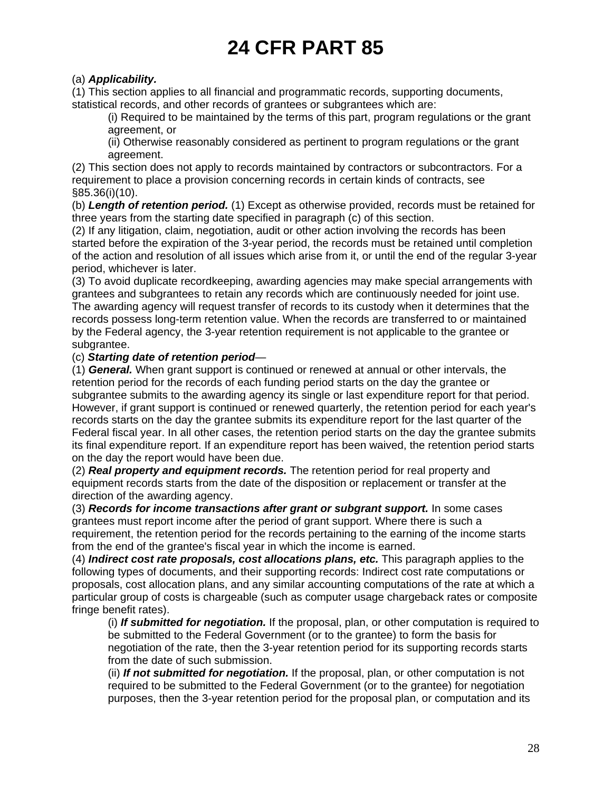## (a) *Applicability.*

(1) This section applies to all financial and programmatic records, supporting documents, statistical records, and other records of grantees or subgrantees which are:

(i) Required to be maintained by the terms of this part, program regulations or the grant agreement, or

(ii) Otherwise reasonably considered as pertinent to program regulations or the grant agreement.

(2) This section does not apply to records maintained by contractors or subcontractors. For a requirement to place a provision concerning records in certain kinds of contracts, see §85.36(i)(10).

(b) *Length of retention period.* (1) Except as otherwise provided, records must be retained for three years from the starting date specified in paragraph (c) of this section.

(2) If any litigation, claim, negotiation, audit or other action involving the records has been started before the expiration of the 3-year period, the records must be retained until completion of the action and resolution of all issues which arise from it, or until the end of the regular 3-year period, whichever is later.

(3) To avoid duplicate recordkeeping, awarding agencies may make special arrangements with grantees and subgrantees to retain any records which are continuously needed for joint use. The awarding agency will request transfer of records to its custody when it determines that the records possess long-term retention value. When the records are transferred to or maintained by the Federal agency, the 3-year retention requirement is not applicable to the grantee or subgrantee.

#### (c) *Starting date of retention period*—

(1) *General.* When grant support is continued or renewed at annual or other intervals, the retention period for the records of each funding period starts on the day the grantee or subgrantee submits to the awarding agency its single or last expenditure report for that period. However, if grant support is continued or renewed quarterly, the retention period for each year's records starts on the day the grantee submits its expenditure report for the last quarter of the Federal fiscal year. In all other cases, the retention period starts on the day the grantee submits its final expenditure report. If an expenditure report has been waived, the retention period starts on the day the report would have been due.

(2) *Real property and equipment records.* The retention period for real property and equipment records starts from the date of the disposition or replacement or transfer at the direction of the awarding agency.

(3) *Records for income transactions after grant or subgrant support.* In some cases grantees must report income after the period of grant support. Where there is such a requirement, the retention period for the records pertaining to the earning of the income starts from the end of the grantee's fiscal year in which the income is earned.

(4) *Indirect cost rate proposals, cost allocations plans, etc.* This paragraph applies to the following types of documents, and their supporting records: Indirect cost rate computations or proposals, cost allocation plans, and any similar accounting computations of the rate at which a particular group of costs is chargeable (such as computer usage chargeback rates or composite fringe benefit rates).

(i) *If submitted for negotiation.* If the proposal, plan, or other computation is required to be submitted to the Federal Government (or to the grantee) to form the basis for negotiation of the rate, then the 3-year retention period for its supporting records starts from the date of such submission.

(ii) *If not submitted for negotiation.* If the proposal, plan, or other computation is not required to be submitted to the Federal Government (or to the grantee) for negotiation purposes, then the 3-year retention period for the proposal plan, or computation and its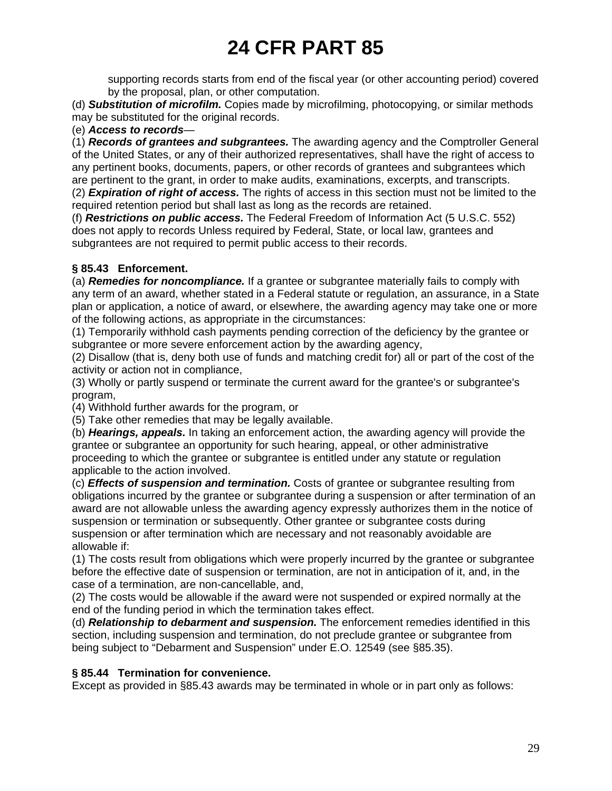supporting records starts from end of the fiscal year (or other accounting period) covered by the proposal, plan, or other computation.

(d) *Substitution of microfilm.* Copies made by microfilming, photocopying, or similar methods may be substituted for the original records.

(e) *Access to records*—

(1) *Records of grantees and subgrantees.* The awarding agency and the Comptroller General of the United States, or any of their authorized representatives, shall have the right of access to any pertinent books, documents, papers, or other records of grantees and subgrantees which are pertinent to the grant, in order to make audits, examinations, excerpts, and transcripts.

(2) *Expiration of right of access.* The rights of access in this section must not be limited to the required retention period but shall last as long as the records are retained.

(f) *Restrictions on public access.* The Federal Freedom of Information Act (5 U.S.C. 552) does not apply to records Unless required by Federal, State, or local law, grantees and subgrantees are not required to permit public access to their records.

# **§ 85.43 Enforcement.**

(a) *Remedies for noncompliance.* If a grantee or subgrantee materially fails to comply with any term of an award, whether stated in a Federal statute or regulation, an assurance, in a State plan or application, a notice of award, or elsewhere, the awarding agency may take one or more of the following actions, as appropriate in the circumstances:

(1) Temporarily withhold cash payments pending correction of the deficiency by the grantee or subgrantee or more severe enforcement action by the awarding agency,

(2) Disallow (that is, deny both use of funds and matching credit for) all or part of the cost of the activity or action not in compliance,

(3) Wholly or partly suspend or terminate the current award for the grantee's or subgrantee's program,

(4) Withhold further awards for the program, or

(5) Take other remedies that may be legally available.

(b) *Hearings, appeals.* In taking an enforcement action, the awarding agency will provide the grantee or subgrantee an opportunity for such hearing, appeal, or other administrative proceeding to which the grantee or subgrantee is entitled under any statute or regulation applicable to the action involved.

(c) *Effects of suspension and termination.* Costs of grantee or subgrantee resulting from obligations incurred by the grantee or subgrantee during a suspension or after termination of an award are not allowable unless the awarding agency expressly authorizes them in the notice of suspension or termination or subsequently. Other grantee or subgrantee costs during suspension or after termination which are necessary and not reasonably avoidable are allowable if:

(1) The costs result from obligations which were properly incurred by the grantee or subgrantee before the effective date of suspension or termination, are not in anticipation of it, and, in the case of a termination, are non-cancellable, and,

(2) The costs would be allowable if the award were not suspended or expired normally at the end of the funding period in which the termination takes effect.

(d) *Relationship to debarment and suspension.* The enforcement remedies identified in this section, including suspension and termination, do not preclude grantee or subgrantee from being subject to "Debarment and Suspension" under E.O. 12549 (see §85.35).

## **§ 85.44 Termination for convenience.**

Except as provided in §85.43 awards may be terminated in whole or in part only as follows: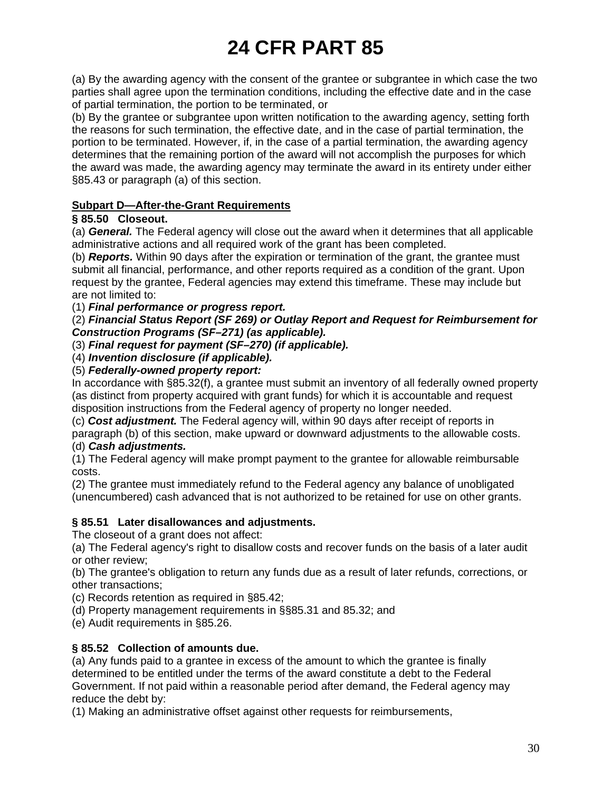(a) By the awarding agency with the consent of the grantee or subgrantee in which case the two parties shall agree upon the termination conditions, including the effective date and in the case of partial termination, the portion to be terminated, or

(b) By the grantee or subgrantee upon written notification to the awarding agency, setting forth the reasons for such termination, the effective date, and in the case of partial termination, the portion to be terminated. However, if, in the case of a partial termination, the awarding agency determines that the remaining portion of the award will not accomplish the purposes for which the award was made, the awarding agency may terminate the award in its entirety under either §85.43 or paragraph (a) of this section.

# **Subpart D—After-the-Grant Requirements**

# **§ 85.50 Closeout.**

(a) *General.* The Federal agency will close out the award when it determines that all applicable administrative actions and all required work of the grant has been completed.

(b) *Reports.* Within 90 days after the expiration or termination of the grant, the grantee must submit all financial, performance, and other reports required as a condition of the grant. Upon request by the grantee, Federal agencies may extend this timeframe. These may include but are not limited to:

## (1) *Final performance or progress report.*

(2) *Financial Status Report (SF 269) or Outlay Report and Request for Reimbursement for Construction Programs (SF–271) (as applicable).*

# (3) *Final request for payment (SF–270) (if applicable).*

(4) *Invention disclosure (if applicable).*

# (5) *Federally-owned property report:*

In accordance with §85.32(f), a grantee must submit an inventory of all federally owned property (as distinct from property acquired with grant funds) for which it is accountable and request disposition instructions from the Federal agency of property no longer needed.

(c) *Cost adjustment.* The Federal agency will, within 90 days after receipt of reports in paragraph (b) of this section, make upward or downward adjustments to the allowable costs. (d) *Cash adjustments.*

(1) The Federal agency will make prompt payment to the grantee for allowable reimbursable costs.

(2) The grantee must immediately refund to the Federal agency any balance of unobligated (unencumbered) cash advanced that is not authorized to be retained for use on other grants.

# **§ 85.51 Later disallowances and adjustments.**

The closeout of a grant does not affect:

(a) The Federal agency's right to disallow costs and recover funds on the basis of a later audit or other review;

(b) The grantee's obligation to return any funds due as a result of later refunds, corrections, or other transactions;

(c) Records retention as required in §85.42;

(d) Property management requirements in §§85.31 and 85.32; and

(e) Audit requirements in §85.26.

# **§ 85.52 Collection of amounts due.**

(a) Any funds paid to a grantee in excess of the amount to which the grantee is finally determined to be entitled under the terms of the award constitute a debt to the Federal Government. If not paid within a reasonable period after demand, the Federal agency may reduce the debt by:

(1) Making an administrative offset against other requests for reimbursements,